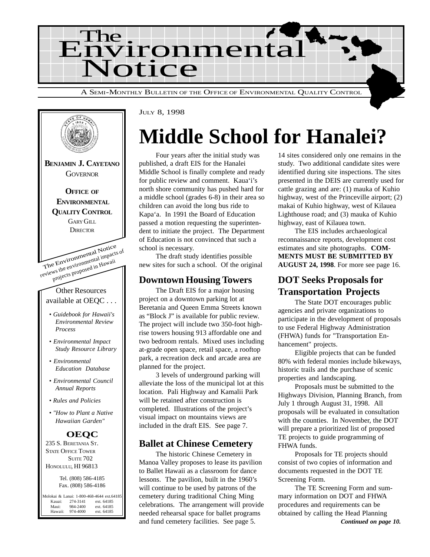



JULY 8, 1998

## **Middle School for Hanalei?**

Four years after the initial study was published, a draft EIS for the Hanalei Middle School is finally complete and ready for public review and comment. Kaua'i's north shore community has pushed hard for a middle school (grades 6-8) in their area so children can avoid the long bus ride to Kapa'a. In 1991 the Board of Education passed a motion requesting the superintendent to initiate the project. The Department of Education is not convinced that such a school is necessary.

The draft study identifies possible new sites for such a school. Of the original

#### **Downtown Housing Towers**

The Draft EIS for a major housing project on a downtown parking lot at Beretania and Queen Emma Streets known as "Block J" is available for public review. The project will include two 350-foot highrise towers housing 913 affordable one and two bedroom rentals. Mixed uses including at-grade open space, retail space, a rooftop park, a recreation deck and arcade area are planned for the project.

3 levels of underground parking will alleviate the loss of the municipal lot at this location. Pali Highway and Kamalii Park will be retained after construction is completed. Illustrations of the project's visual impact on mountains views are included in the draft EIS. See page 7.

### **Ballet at Chinese Cemetery**

The historic Chinese Cemetery in Manoa Valley proposes to lease its pavilion to Ballet Hawaii as a classroom for dance lessons. The pavilion, built in the 1960's will continue to be used by patrons of the cemetery during traditional Ching Ming celebrations. The arrangement will provide needed rehearsal space for ballet programs and fund cemetery facilities. See page 5.

14 sites considered only one remains in the study. Two additional candidate sites were identified during site inspections. The sites presented in the DEIS are currently used for cattle grazing and are: (1) mauka of Kuhio highway, west of the Princeville airport; (2) makai of Kuhio highway, west of Kilauea Lighthouse road; and (3) mauka of Kuhio highway, east of Kilauea town.

The EIS includes archaeological reconnaissance reports, development cost estimates and site photographs. **COM-MENTS MUST BE SUBMITTED BY AUGUST 24, 1998**. For more see page 16.

## **DOT Seeks Proposals for Transportation Projects**

The State DOT encourages public agencies and private organizations to participate in the development of proposals to use Federal Highway Administration (FHWA) funds for "Transportation Enhancement" projects.

Eligible projects that can be funded 80% with federal monies include bikeways, historic trails and the purchase of scenic properties and landscaping.

Proposals must be submitted to the Highways Division, Planning Branch, from July 1 through August 31, 1998. All proposals will be evaluated in consultation with the counties. In November, the DOT will prepare a prioritized list of proposed TE projects to guide programming of FHWA funds.

Proposals for TE projects should consist of two copies of information and documents requested in the DOT TE Screening Form.

The TE Screening Form and summary information on DOT and FHWA procedures and requirements can be obtained by calling the Head Planning *Continued on page 10.*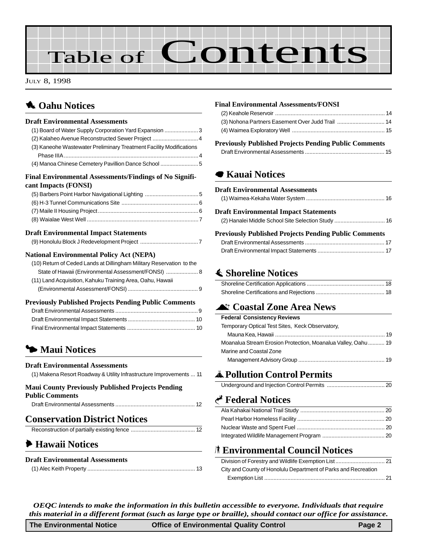# Table of Contents

JULY 8, 1998

## **1** Oahu Notices

| <b>Draft Environmental Assessments</b>                               |  |
|----------------------------------------------------------------------|--|
| (1) Board of Water Supply Corporation Yard Expansion  3              |  |
| (2) Kalaheo Avenue Reconstructed Sewer Project  4                    |  |
| (3) Kaneohe Wastewater Preliminary Treatment Facility Modifications  |  |
|                                                                      |  |
| (4) Manoa Chinese Cemetery Pavillion Dance School  5                 |  |
| Final Environmental Assessments/Findings of No Signifi-              |  |
| cant Impacts (FONSI)                                                 |  |
|                                                                      |  |
|                                                                      |  |
|                                                                      |  |
|                                                                      |  |
| <b>Draft Environmental Impact Statements</b>                         |  |
|                                                                      |  |
| <b>National Environmental Policy Act (NEPA)</b>                      |  |
| (10) Return of Ceded Lands at Dillingham Military Reservation to the |  |
| State of Hawaii (Environmental Assessment/FONSI)  8                  |  |
| (11) Land Acquisition, Kahuku Training Area, Oahu, Hawaii            |  |
|                                                                      |  |
| <b>Previously Published Projects Pending Public Comments</b>         |  |
|                                                                      |  |
|                                                                      |  |
|                                                                      |  |
|                                                                      |  |
|                                                                      |  |
| • Maui Notices                                                       |  |

#### **Draft Environmental Assessments**

| (1) Makena Resort Roadway & Utility Infrastructure Improvements  11 |  |  |
|---------------------------------------------------------------------|--|--|
|                                                                     |  |  |

#### **Maui County Previously Published Projects Pending Public Comments**

| . имне соннисно |  |
|-----------------|--|
|                 |  |
|                 |  |

### **Conservation District Notices**

### 6 **Hawaii Notices**

#### **Draft Environmental Assessments**

|--|

#### **Final Environmental Assessments/FONSI**

#### **Previously Published Projects Pending Public Comments**

|--|

### 7 **Kauai Notices**

| <b>Draft Environmental Assessments</b>                       |  |
|--------------------------------------------------------------|--|
| <b>Draft Environmental Impact Statements</b>                 |  |
| <b>Previously Published Projects Pending Public Comments</b> |  |
|                                                              |  |
|                                                              |  |

## s **Shoreline Notices**

## **A Coastal Zone Area News**

| <b>Federal Consistency Reviews</b>                            |
|---------------------------------------------------------------|
| Temporary Optical Test Sites, Keck Observatory,               |
|                                                               |
| Moanalua Stream Erosion Protection, Moanalua Valley, Oahu  19 |
| Marine and Coastal Zone                                       |
|                                                               |

## V**Pollution Control Permits**

|--|--|

### G **Federal Notices**

### S **Environmental Council Notices**

| City and County of Honolulu Department of Parks and Recreation |  |
|----------------------------------------------------------------|--|
|                                                                |  |

*OEQC intends to make the information in this bulletin accessible to everyone. Individuals that require this material in a different format (such as large type or braille), should contact our office for assistance.*

| The Environmental Notice | <b>Office of Environmental Quality Control</b> | Page 2 |
|--------------------------|------------------------------------------------|--------|
|                          |                                                |        |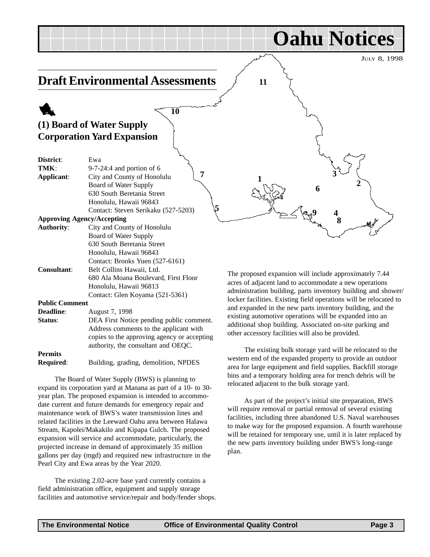<span id="page-2-0"></span>JULY 8, 1998 **Oahu Notices Draft Environmental Assessments** 1 **(1) Board of Water Supply Corporation Yard Expansion District**: Ewa **TMK**: 9-7-24:4 and portion of 6 **Applicant**: City and County of Honolulu Board of Water Supply 630 South Beretania Street Honolulu, Hawaii 96843 Contact: Steven Serikaku (527-5203) **Approving Agency/Accepting Authority**: City and County of Honolulu Board of Water Supply 630 South Beretania Street Honolulu, Hawaii 96843 Contact: Brooks Yuen (527-6161) **Consultant**: Belt Collins Hawaii, Ltd. 680 Ala Moana Boulevard, First Floor Honolulu, Hawaii 96813 Contact: Glen Koyama (521-5361) **Public Comment Deadline**: August 7, 1998 **Status:** DEA First Notice pending public comment. Address comments to the applicant with The proposed expansion will include approximately 7.44 acres of adjacent land to accommodate a new operations administration building, parts inventory building and shower/ locker facilities. Existing field operations will be relocated to and expanded in the new parts inventory building, and the existing automotive operations will be expanded into an additional shop building. Associated on-site parking and other accessory facilities will also be provided. **1 2 2 3**  $\begin{cases} 5 & 4 \end{cases}$ **6 8 9 11 7 10**

**Permits Required**: Building, grading, demolition, NPDES

copies to the approving agency or accepting authority, the consultant and OEQC.

The Board of Water Supply (BWS) is planning to expand its corporation yard at Manana as part of a 10- to 30 year plan. The proposed expansion is intended to accommodate current and future demands for emergency repair and maintenance work of BWS's water transmission lines and related facilities in the Leeward Oahu area between Halawa Stream, Kapolei/Makakilo and Kipapa Gulch. The proposed expansion will service and accommodate, particularly, the projected increase in demand of approximately 35 million gallons per day (mgd) and required new infrastructure in the Pearl City and Ewa areas by the Year 2020.

The existing 2.02-acre base yard currently contains a field administration office, equipment and supply storage facilities and automotive service/repair and body/fender shops.

The existing bulk storage yard will be relocated to the western end of the expanded property to provide an outdoor area for large equipment and field supplies. Backfill storage bins and a temporary holding area for trench debris will be relocated adjacent to the bulk storage yard.

As part of the project's initial site preparation, BWS will require removal or partial removal of several existing facilities, including three abandoned U.S. Naval warehouses to make way for the proposed expansion. A fourth warehouse will be retained for temporary use, until it is later replaced by the new parts inventory building under BWS's long-range plan.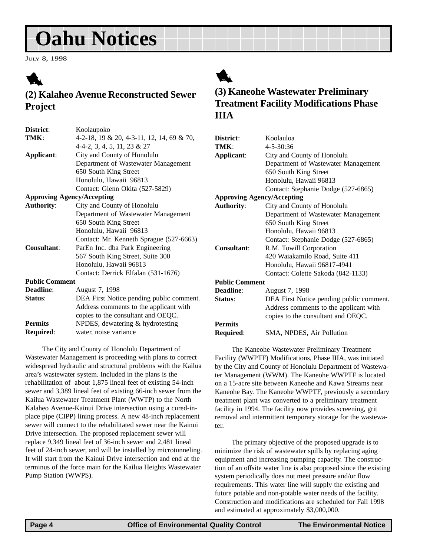<span id="page-3-0"></span>JULY 8, 1998



## **(2) Kalaheo Avenue Reconstructed Sewer Project**

| District:                         | Koolaupoko                                |
|-----------------------------------|-------------------------------------------|
| TMK:                              | 4-2-18, 19 & 20, 4-3-11, 12, 14, 69 & 70, |
|                                   | $4-4-2, 3, 4, 5, 11, 23 & 27$             |
| Applicant:                        | City and County of Honolulu               |
|                                   | Department of Wastewater Management       |
|                                   | 650 South King Street                     |
|                                   | Honolulu, Hawaii 96813                    |
|                                   | Contact: Glenn Okita (527-5829)           |
| <b>Approving Agency/Accepting</b> |                                           |
| <b>Authority:</b>                 | City and County of Honolulu               |
|                                   | Department of Wastewater Management       |
|                                   | 650 South King Street                     |
|                                   | Honolulu, Hawaii 96813                    |
|                                   | Contact: Mr. Kenneth Sprague (527-6663)   |
| Consultant:                       | ParEn Inc. dba Park Engineering           |
|                                   | 567 South King Street, Suite 300          |
|                                   | Honolulu, Hawaii 96813                    |
|                                   | Contact: Derrick Elfalan (531-1676)       |
| <b>Public Comment</b>             |                                           |
| Deadline:                         | August 7, 1998                            |
| Status:                           | DEA First Notice pending public comment.  |
|                                   | Address comments to the applicant with    |
|                                   | copies to the consultant and OEQC.        |
| <b>Permits</b>                    | NPDES, dewatering & hydrotesting          |
| Required:                         | water, noise variance                     |

The City and County of Honolulu Department of Wastewater Management is proceeding with plans to correct widespread hydraulic and structural problems with the Kailua area's wastewater system. Included in the plans is the rehabilitation of about 1,875 lineal feet of existing 54-inch sewer and 3,389 lineal feet of existing 66-inch sewer from the Kailua Wastewater Treatment Plant (WWTP) to the North Kalaheo Avenue-Kainui Drive intersection using a cured-inplace pipe (CIPP) lining process. A new 48-inch replacement sewer will connect to the rehabilitated sewer near the Kainui Drive intersection. The proposed replacement sewer will replace 9,349 lineal feet of 36-inch sewer and 2,481 lineal feet of 24-inch sewer, and will be installed by microtunneling. It will start from the Kainui Drive intersection and end at the terminus of the force main for the Kailua Heights Wastewater Pump Station (WWPS).



## **(3) Kaneohe Wastewater Preliminary Treatment Facility Modifications Phase IIIA**

| District:             | Koolauloa                                |
|-----------------------|------------------------------------------|
| TMK:                  | 4-5-30:36                                |
| Applicant:            | City and County of Honolulu              |
|                       | Department of Wastewater Management      |
|                       | 650 South King Street                    |
|                       | Honolulu, Hawaii 96813                   |
|                       | Contact: Stephanie Dodge (527-6865)      |
|                       | <b>Approving Agency/Accepting</b>        |
| <b>Authority:</b>     | City and County of Honolulu              |
|                       | Department of Wastewater Management      |
|                       | 650 South King Street                    |
|                       | Honolulu, Hawaii 96813                   |
|                       | Contact: Stephanie Dodge (527-6865)      |
| Consultant:           | R.M. Towill Corporation                  |
|                       | 420 Waiakamilo Road, Suite 411           |
|                       | Honolulu, Hawaii 96817-4941              |
|                       | Contact: Colette Sakoda (842-1133)       |
| <b>Public Comment</b> |                                          |
| Deadline:             | August 7, 1998                           |
| Status:               | DEA First Notice pending public comment. |
|                       | Address comments to the applicant with   |
|                       | copies to the consultant and OEQC.       |
| <b>Permits</b>        |                                          |
| Required:             | SMA, NPDES, Air Pollution                |
|                       |                                          |

The Kaneohe Wastewater Preliminary Treatment Facility (WWPTF) Modifications, Phase IIIA, was initiated by the City and County of Honolulu Department of Wastewater Management (WWM). The Kaneohe WWPTF is located on a 15-acre site between Kaneohe and Kawa Streams near Kaneohe Bay. The Kaneohe WWPTF, previously a secondary treatment plant was converted to a preliminary treatment facility in 1994. The facility now provides screening, grit removal and intermittent temporary storage for the wastewater.

The primary objective of the proposed upgrade is to minimize the risk of wastewater spills by replacing aging equipment and increasing pumping capacity. The construction of an offsite water line is also proposed since the existing system periodically does not meet pressure and/or flow requirements. This water line will supply the existing and future potable and non-potable water needs of the facility. Construction and modifications are scheduled for Fall 1998 and estimated at approximately \$3,000,000.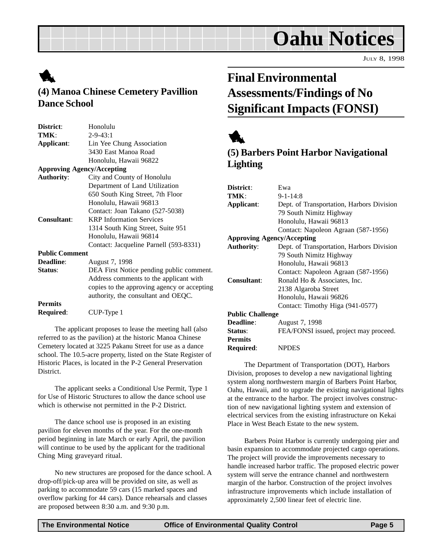JULY 8, 1998

## <span id="page-4-0"></span>1

## **(4) Manoa Chinese Cemetery Pavillion Dance School**

| District:             | Honolulu                                    |
|-----------------------|---------------------------------------------|
| TMK:                  | $2 - 9 - 43:1$                              |
| Applicant:            | Lin Yee Chung Association                   |
|                       | 3430 East Manoa Road                        |
|                       | Honolulu, Hawaii 96822                      |
|                       | <b>Approving Agency/Accepting</b>           |
| <b>Authority:</b>     | City and County of Honolulu                 |
|                       | Department of Land Utilization              |
|                       | 650 South King Street, 7th Floor            |
|                       | Honolulu, Hawaii 96813                      |
|                       | Contact: Joan Takano (527-5038)             |
| <b>Consultant:</b>    | <b>KRP</b> Information Services             |
|                       | 1314 South King Street, Suite 951           |
|                       | Honolulu, Hawaii 96814                      |
|                       | Contact: Jacqueline Parnell (593-8331)      |
| <b>Public Comment</b> |                                             |
| <b>Deadline:</b>      | August 7, 1998                              |
| Status:               | DEA First Notice pending public comment.    |
|                       | Address comments to the applicant with      |
|                       | copies to the approving agency or accepting |
|                       | authority, the consultant and OEQC.         |
| <b>Permits</b>        |                                             |
| Required:             | CUP-Type 1                                  |
|                       |                                             |

The applicant proposes to lease the meeting hall (also referred to as the pavilion) at the historic Manoa Chinese Cemetery located at 3225 Pakanu Street for use as a dance school. The 10.5-acre property, listed on the State Register of Historic Places, is located in the P-2 General Preservation District.

The applicant seeks a Conditional Use Permit, Type 1 for Use of Historic Structures to allow the dance school use which is otherwise not permitted in the P-2 District.

The dance school use is proposed in an existing pavilion for eleven months of the year. For the one-month period beginning in late March or early April, the pavilion will continue to be used by the applicant for the traditional Ching Ming graveyard ritual.

No new structures are proposed for the dance school. A drop-off/pick-up area will be provided on site, as well as parking to accommodate 59 cars (15 marked spaces and overflow parking for 44 cars). Dance rehearsals and classes are proposed between 8:30 a.m. and 9:30 p.m.

## **Final Environmental Assessments/Findings of No Significant Impacts (FONSI)**

## 1

## **(5) Barbers Point Harbor Navigational Lighting**

| District:                         | Ewa                                       |
|-----------------------------------|-------------------------------------------|
| TMK:                              | $9 - 1 - 14:8$                            |
| Applicant:                        | Dept. of Transportation, Harbors Division |
|                                   | 79 South Nimitz Highway                   |
|                                   | Honolulu, Hawaii 96813                    |
|                                   | Contact: Napoleon Agraan (587-1956)       |
| <b>Approving Agency/Accepting</b> |                                           |
| <b>Authority:</b>                 | Dept. of Transportation, Harbors Division |
|                                   | 79 South Nimitz Highway                   |
|                                   | Honolulu, Hawaii 96813                    |
|                                   | Contact: Napoleon Agraan (587-1956)       |
| Consultant:                       | Ronald Ho & Associates, Inc.              |
|                                   | 2138 Algaroba Street                      |
|                                   | Honolulu, Hawaii 96826                    |
|                                   | Contact: Timothy Higa (941-0577)          |
| <b>Public Challenge</b>           |                                           |
| Deadline:                         | August 7, 1998                            |
| Status:                           | FEA/FONSI issued, project may proceed.    |
| <b>Permits</b>                    |                                           |
| Required:                         | <b>NPDES</b>                              |

The Department of Transportation (DOT), Harbors Division, proposes to develop a new navigational lighting system along northwestern margin of Barbers Point Harbor, Oahu, Hawaii, and to upgrade the existing navigational lights at the entrance to the harbor. The project involves construction of new navigational lighting system and extension of electrical services from the existing infrastructure on Kekai Place in West Beach Estate to the new system.

Barbers Point Harbor is currently undergoing pier and basin expansion to accommodate projected cargo operations. The project will provide the improvements necessary to handle increased harbor traffic. The proposed electric power system will serve the entrance channel and northwestern margin of the harbor. Construction of the project involves infrastructure improvements which include installation of approximately 2,500 linear feet of electric line.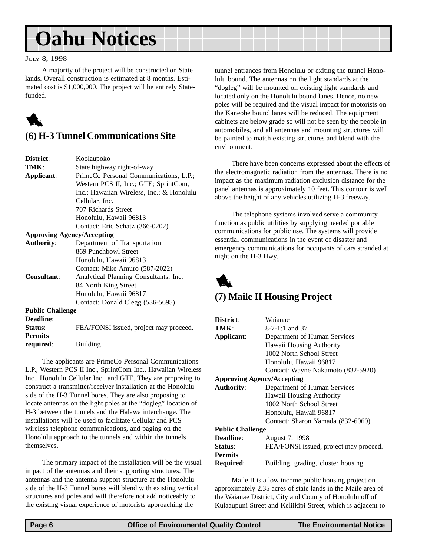#### <span id="page-5-0"></span>JULY 8, 1998

A majority of the project will be constructed on State lands. Overall construction is estimated at 8 months. Estimated cost is \$1,000,000. The project will be entirely Statefunded.



### **(6) H-3 Tunnel Communications Site**

| District:               | Koolaupoko                                |
|-------------------------|-------------------------------------------|
| TMK:                    | State highway right-of-way                |
| Applicant:              | PrimeCo Personal Communications, L.P.;    |
|                         | Western PCS II, Inc.; GTE; SprintCom,     |
|                         | Inc.; Hawaiian Wireless, Inc.; & Honolulu |
|                         | Cellular, Inc.                            |
|                         | 707 Richards Street                       |
|                         | Honolulu, Hawaii 96813                    |
|                         | Contact: Eric Schatz (366-0202)           |
|                         | <b>Approving Agency/Accepting</b>         |
| <b>Authority:</b>       | Department of Transportation              |
|                         | 869 Punchbowl Street                      |
|                         | Honolulu, Hawaii 96813                    |
|                         | Contact: Mike Amuro (587-2022)            |
| Consultant:             | Analytical Planning Consultants, Inc.     |
|                         | 84 North King Street                      |
|                         | Honolulu, Hawaii 96817                    |
|                         | Contact: Donald Clegg (536-5695)          |
| <b>Public Challenge</b> |                                           |
| Deadline:               |                                           |
| Status:                 | FEA/FONSI issued, project may proceed.    |
| <b>Permits</b>          |                                           |
| required:               | Building                                  |

The applicants are PrimeCo Personal Communications L.P., Western PCS II Inc., SprintCom Inc., Hawaiian Wireless Inc., Honolulu Cellular Inc., and GTE. They are proposing to construct a transmitter/receiver installation at the Honolulu side of the H-3 Tunnel bores. They are also proposing to locate antennas on the light poles at the "dogleg" location of H-3 between the tunnels and the Halawa interchange. The installations will be used to facilitate Cellular and PCS wireless telephone communications, and paging on the Honolulu approach to the tunnels and within the tunnels themselves.

The primary impact of the installation will be the visual impact of the antennas and their supporting structures. The antennas and the antenna support structure at the Honolulu side of the H-3 Tunnel bores will blend with existing vertical structures and poles and will therefore not add noticeably to the existing visual experience of motorists approaching the

tunnel entrances from Honolulu or exiting the tunnel Honolulu bound. The antennas on the light standards at the "dogleg" will be mounted on existing light standards and located only on the Honolulu bound lanes. Hence, no new poles will be required and the visual impact for motorists on the Kaneohe bound lanes will be reduced. The equipment cabinets are below grade so will not be seen by the people in automobiles, and all antennas and mounting structures will be painted to match existing structures and blend with the environment.

There have been concerns expressed about the effects of the electromagnetic radiation from the antennas. There is no impact as the maximum radiation exclusion distance for the panel antennas is approximately 10 feet. This contour is well above the height of any vehicles utilizing H-3 freeway.

The telephone systems involved serve a community function as public utilities by supplying needed portable communications for public use. The systems will provide essential communications in the event of disaster and emergency communications for occupants of cars stranded at night on the H-3 Hwy.



### **(7) Maile II Housing Project**

| District:                         | Waianae                                |
|-----------------------------------|----------------------------------------|
| TMK:                              | $8-7-1:1$ and 37                       |
| Applicant:                        | Department of Human Services           |
|                                   | Hawaii Housing Authority               |
|                                   | 1002 North School Street               |
|                                   | Honolulu, Hawaii 96817                 |
|                                   | Contact: Wayne Nakamoto (832-5920)     |
| <b>Approving Agency/Accepting</b> |                                        |
| <b>Authority:</b>                 | Department of Human Services           |
|                                   | Hawaii Housing Authority               |
|                                   | 1002 North School Street               |
|                                   | Honolulu, Hawaii 96817                 |
|                                   | Contact: Sharon Yamada (832-6060)      |
| <b>Public Challenge</b>           |                                        |
| <b>Deadline:</b>                  | August 7, 1998                         |
| <b>Status:</b>                    | FEA/FONSI issued, project may proceed. |
| <b>Permits</b>                    |                                        |
| Required:                         | Building, grading, cluster housing     |
|                                   |                                        |

Maile II is a low income public housing project on approximately 2.35 acres of state lands in the Maile area of the Waianae District, City and County of Honolulu off of Kulaaupuni Street and Keliikipi Street, which is adjacent to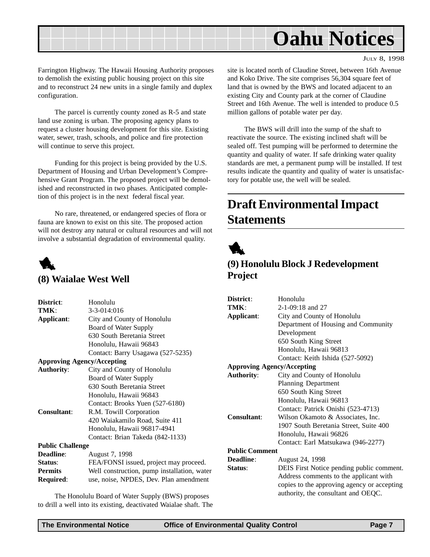<span id="page-6-0"></span>

JULY 8, 1998

Farrington Highway. The Hawaii Housing Authority proposes to demolish the existing public housing project on this site and to reconstruct 24 new units in a single family and duplex configuration.

The parcel is currently county zoned as R-5 and state land use zoning is urban. The proposing agency plans to request a cluster housing development for this site. Existing water, sewer, trash, schools, and police and fire protection will continue to serve this project.

Funding for this project is being provided by the U.S. Department of Housing and Urban Development's Comprehensive Grant Program. The proposed project will be demolished and reconstructed in two phases. Anticipated completion of this project is in the next federal fiscal year.

No rare, threatened, or endangered species of flora or fauna are known to exist on this site. The proposed action will not destroy any natural or cultural resources and will not involve a substantial degradation of environmental quality.



#### **(8) Waialae West Well**

| FEA/FONSI issued, project may proceed.      |
|---------------------------------------------|
| Well construction, pump installation, water |
| use, noise, NPDES, Dev. Plan amendment      |
|                                             |

The Honolulu Board of Water Supply (BWS) proposes to drill a well into its existing, deactivated Waialae shaft. The site is located north of Claudine Street, between 16th Avenue and Koko Drive. The site comprises 56,304 square feet of land that is owned by the BWS and located adjacent to an existing City and County park at the corner of Claudine Street and 16th Avenue. The well is intended to produce 0.5 million gallons of potable water per day.

The BWS will drill into the sump of the shaft to reactivate the source. The existing inclined shaft will be sealed off. Test pumping will be performed to determine the quantity and quality of water. If safe drinking water quality standards are met, a permanent pump will be installed. If test results indicate the quantity and quality of water is unsatisfactory for potable use, the well will be sealed.

## **Draft Environmental Impact Statements**



## **(9) Honolulu Block J Redevelopment Project**

| District:                         | Honolulu                                    |  |
|-----------------------------------|---------------------------------------------|--|
| TMK:                              | $2-1-09:18$ and 27                          |  |
| Applicant:                        | City and County of Honolulu                 |  |
|                                   | Department of Housing and Community         |  |
|                                   | Development                                 |  |
|                                   | 650 South King Street                       |  |
|                                   | Honolulu, Hawaii 96813                      |  |
|                                   | Contact: Keith Ishida (527-5092)            |  |
| <b>Approving Agency/Accepting</b> |                                             |  |
| <b>Authority:</b>                 | City and County of Honolulu                 |  |
|                                   | <b>Planning Department</b>                  |  |
|                                   | 650 South King Street                       |  |
|                                   | Honolulu, Hawaii 96813                      |  |
|                                   | Contact: Patrick Onishi (523-4713)          |  |
| <b>Consultant:</b>                | Wilson Okamoto & Associates, Inc.           |  |
|                                   | 1907 South Beretania Street, Suite 400      |  |
|                                   | Honolulu, Hawaii 96826                      |  |
|                                   | Contact: Earl Matsukawa (946-2277)          |  |
| <b>Public Comment</b>             |                                             |  |
| Deadline:                         | August 24, 1998                             |  |
| Status:                           | DEIS First Notice pending public comment.   |  |
|                                   | Address comments to the applicant with      |  |
|                                   | copies to the approving agency or accepting |  |
|                                   | authority, the consultant and OEQC.         |  |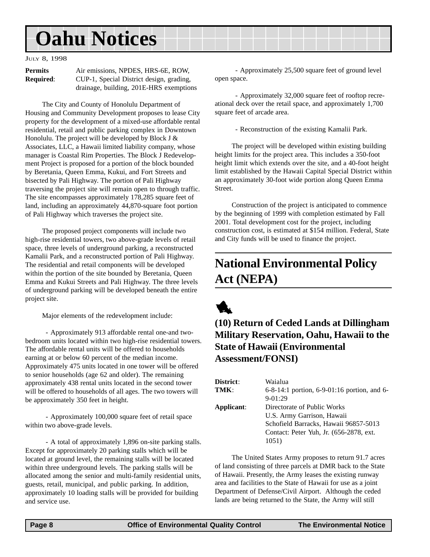#### <span id="page-7-0"></span>JULY 8, 1998

| <b>Permits</b>   | Air emissions, NPDES, HRS-6E, ROW,       |
|------------------|------------------------------------------|
| <b>Required:</b> | CUP-1, Special District design, grading, |
|                  | drainage, building, 201E-HRS exemptions  |

The City and County of Honolulu Department of Housing and Community Development proposes to lease City property for the development of a mixed-use affordable rental residential, retail and public parking complex in Downtown Honolulu. The project will be developed by Block J & Associates, LLC, a Hawaii limited liability company, whose manager is Coastal Rim Properties. The Block J Redevelopment Project is proposed for a portion of the block bounded by Beretania, Queen Emma, Kukui, and Fort Streets and bisected by Pali Highway. The portion of Pali Highway traversing the project site will remain open to through traffic. The site encompasses approximately 178,285 square feet of land, including an approximately 44,870-square foot portion of Pali Highway which traverses the project site.

The proposed project components will include two high-rise residential towers, two above-grade levels of retail space, three levels of underground parking, a reconstructed Kamalii Park, and a reconstructed portion of Pali Highway. The residential and retail components will be developed within the portion of the site bounded by Beretania, Queen Emma and Kukui Streets and Pali Highway. The three levels of underground parking will be developed beneath the entire project site.

Major elements of the redevelopment include:

 - Approximately 913 affordable rental one-and twobedroom units located within two high-rise residential towers. The affordable rental units will be offered to households earning at or below 60 percent of the median income. Approximately 475 units located in one tower will be offered to senior households (age 62 and older). The remaining approximately 438 rental units located in the second tower will be offered to households of all ages. The two towers will be approximately 350 feet in height.

 - Approximately 100,000 square feet of retail space within two above-grade levels.

 - A total of approximately 1,896 on-site parking stalls. Except for approximately 20 parking stalls which will be located at ground level, the remaining stalls will be located within three underground levels. The parking stalls will be allocated among the senior and multi-family residential units, guests, retail, municipal, and public parking. In addition, approximately 10 loading stalls will be provided for building and service use.

 - Approximately 25,500 square feet of ground level open space.

 - Approximately 32,000 square feet of rooftop recreational deck over the retail space, and approximately 1,700 square feet of arcade area.

- Reconstruction of the existing Kamalii Park.

The project will be developed within existing building height limits for the project area. This includes a 350-foot height limit which extends over the site, and a 40-foot height limit established by the Hawaii Capital Special District within an approximately 30-foot wide portion along Queen Emma Street.

Construction of the project is anticipated to commence by the beginning of 1999 with completion estimated by Fall 2001. Total development cost for the project, including construction cost, is estimated at \$154 million. Federal, State and City funds will be used to finance the project.

## **National Environmental Policy Act (NEPA)**



## **(10) Return of Ceded Lands at Dillingham Military Reservation, Oahu, Hawaii to the State of Hawaii (Environmental Assessment/FONSI)**

| District:  | Waialua                                           |
|------------|---------------------------------------------------|
| TMK:       | $6-8-14:1$ portion, $6-9-01:16$ portion, and $6-$ |
|            | $9-01:29$                                         |
| Applicant: | Directorate of Public Works                       |
|            | U.S. Army Garrison, Hawaii                        |
|            | Schofield Barracks, Hawaii 96857-5013             |
|            | Contact: Peter Yuh, Jr. (656-2878, ext.)          |
|            | 1051)                                             |

The United States Army proposes to return 91.7 acres of land consisting of three parcels at DMR back to the State of Hawaii. Presently, the Army leases the existing runway area and facilities to the State of Hawaii for use as a joint Department of Defense/Civil Airport. Although the ceded lands are being returned to the State, the Army will still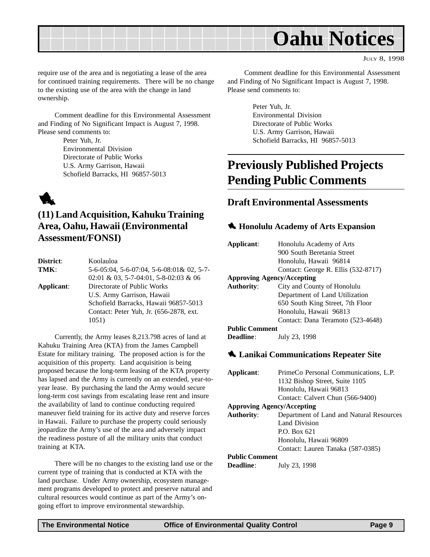<span id="page-8-0"></span>

JULY 8, 1998

require use of the area and is negotiating a lease of the area for continued training requirements. There will be no change to the existing use of the area with the change in land ownership.

Comment deadline for this Environmental Assessment and Finding of No Significant Impact is August 7, 1998. Please send comments to:

> Peter Yuh, Jr. Environmental Division Directorate of Public Works U.S. Army Garrison, Hawaii Schofield Barracks, HI 96857-5013



### **(11) Land Acquisition, Kahuku Training Area, Oahu, Hawaii (Environmental Assessment/FONSI)**

| District:  | Koolauloa                                 |
|------------|-------------------------------------------|
| TMK:       | 5-6-05:04, 5-6-07:04, 5-6-08:01& 02, 5-7- |
|            | $02:01 \& 03, 5-7-04:01, 5-8-02:03 \& 06$ |
| Applicant: | Directorate of Public Works               |
|            | U.S. Army Garrison, Hawaii                |
|            | Schofield Barracks, Hawaii 96857-5013     |
|            | Contact: Peter Yuh, Jr. (656-2878, ext.)  |
|            | 1051)                                     |
|            |                                           |

Currently, the Army leases 8,213.798 acres of land at Kahuku Training Area (KTA) from the James Campbell Estate for military training. The proposed action is for the acquisition of this property. Land acquisition is being proposed because the long-term leasing of the KTA property has lapsed and the Army is currently on an extended, year-toyear lease. By purchasing the land the Army would secure long-term cost savings from escalating lease rent and insure the availability of land to continue conducting required maneuver field training for its active duty and reserve forces in Hawaii. Failure to purchase the property could seriously jeopardize the Army's use of the area and adversely impact the readiness posture of all the military units that conduct training at KTA.

There will be no changes to the existing land use or the current type of training that is conducted at KTA with the land purchase. Under Army ownership, ecosystem management programs developed to protect and preserve natural and cultural resources would continue as part of the Army's ongoing effort to improve environmental stewardship.

Comment deadline for this Environmental Assessment and Finding of No Significant Impact is August 7, 1998. Please send comments to:

> Peter Yuh, Jr. Environmental Division Directorate of Public Works U.S. Army Garrison, Hawaii Schofield Barracks, HI 96857-5013

## **Previously Published Projects Pending Public Comments**

#### **Draft Environmental Assessments**

#### 1 **Honolulu Academy of Arts Expansion**

| Applicant:                        | Honolulu Academy of Arts<br>900 South Beretania Street<br>Honolulu, Hawaii 96814 |
|-----------------------------------|----------------------------------------------------------------------------------|
|                                   | Contact: George R. Ellis (532-8717)                                              |
| <b>Approving Agency/Accepting</b> |                                                                                  |
| <b>Authority:</b>                 | City and County of Honolulu                                                      |
|                                   | Department of Land Utilization                                                   |
|                                   | 650 South King Street, 7th Floor                                                 |
|                                   | Honolulu, Hawaii 96813                                                           |
|                                   | Contact: Dana Teramoto (523-4648)                                                |
| <b>Public Comment</b>             |                                                                                  |
| <b>Deadline:</b>                  | July 23, 1998                                                                    |

#### 1 **Lanikai Communications Repeater Site**

| Applicant:                        | PrimeCo Personal Communications, L.P.    |
|-----------------------------------|------------------------------------------|
|                                   | 1132 Bishop Street, Suite 1105           |
|                                   | Honolulu, Hawaii 96813                   |
|                                   | Contact: Calvert Chun (566-9400)         |
| <b>Approving Agency/Accepting</b> |                                          |
| <b>Authority:</b>                 | Department of Land and Natural Resources |
|                                   | Land Division                            |
|                                   | P.O. Box 621                             |
|                                   | Honolulu, Hawaii 96809                   |
|                                   | Contact: Lauren Tanaka (587-0385)        |
| <b>Public Comment</b>             |                                          |
| Deadline:                         | July 23, 1998                            |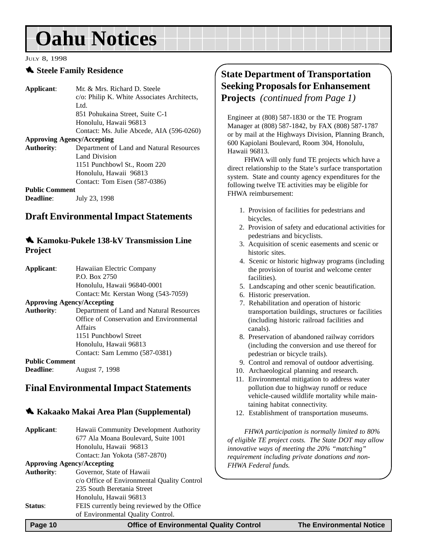#### <span id="page-9-0"></span>JULY 8, 1998

#### **1.** Steele Family Residence

**Applicant**: Mr. & Mrs. Richard D. Steele c/o: Philip K. White Associates Architects, Ltd. 851 Pohukaina Street, Suite C-1 Honolulu, Hawaii 96813 Contact: Ms. Julie Abcede, AIA (596-0260) **Approving Agency/Accepting Authority**: Department of Land and Natural Resources Land Division 1151 Punchbowl St., Room 220 Honolulu, Hawaii 96813 Contact: Tom Eisen (587-0386) **Public Comment**

**Deadline**: **July 23, 1998** 

#### **Draft Environmental Impact Statements**

#### **138-kV** Transmission Line **Project**

| Applicant:            | Hawaiian Electric Company                |
|-----------------------|------------------------------------------|
|                       | P.O. Box 2750                            |
|                       | Honolulu, Hawaii 96840-0001              |
|                       | Contact: Mr. Kerstan Wong (543-7059)     |
|                       | <b>Approving Agency/Accepting</b>        |
| <b>Authority:</b>     | Department of Land and Natural Resources |
|                       | Office of Conservation and Environmental |
|                       | Affairs                                  |
|                       | 1151 Punchbowl Street                    |
|                       | Honolulu, Hawaii 96813                   |
|                       | Contact: Sam Lemmo (587-0381)            |
| <b>Public Comment</b> |                                          |
| <b>Deadline:</b>      | August 7, 1998                           |

### **Final Environmental Impact Statements**

#### 1 **Kakaako Makai Area Plan (Supplemental)**

| Applicant:                        | Hawaii Community Development Authority      |
|-----------------------------------|---------------------------------------------|
|                                   | 677 Ala Moana Boulevard, Suite 1001         |
|                                   | Honolulu, Hawaii 96813                      |
|                                   | Contact: Jan Yokota (587-2870)              |
| <b>Approving Agency/Accepting</b> |                                             |
| <b>Authority:</b>                 | Governor, State of Hawaii                   |
|                                   | c/o Office of Environmental Quality Control |
|                                   | 235 South Beretania Street                  |
|                                   | Honolulu, Hawaii 96813                      |
| Status:                           | FEIS currently being reviewed by the Office |
|                                   | of Environmental Quality Control.           |
|                                   |                                             |

## **State Department of Transportation Seeking Proposals for Enhansement Projects** *(continued from Page 1)*

Engineer at (808) 587-1830 or the TE Program Manager at (808) 587-1842, by FAX (808) 587-1787 or by mail at the Highways Division, Planning Branch, 600 Kapiolani Boulevard, Room 304, Honolulu, Hawaii 96813.

FHWA will only fund TE projects which have a direct relationship to the State's surface transportation system. State and county agency expenditures for the following twelve TE activities may be eligible for FHWA reimbursement:

- 1. Provision of facilities for pedestrians and bicycles.
- 2. Provision of safety and educational activities for pedestrians and bicyclists.
- 3. Acquisition of scenic easements and scenic or historic sites.
- 4. Scenic or historic highway programs (including the provision of tourist and welcome center facilities).
- 5. Landscaping and other scenic beautification.
- 6. Historic preservation.
- 7. Rehabilitation and operation of historic transportation buildings, structures or facilities (including historic railroad facilities and canals).
- 8. Preservation of abandoned railway corridors (including the conversion and use thereof for pedestrian or bicycle trails).
- 9. Control and removal of outdoor advertising.
- 10. Archaeological planning and research.
- 11. Environmental mitigation to address water pollution due to highway runoff or reduce vehicle-caused wildlife mortality while maintaining habitat connectivity.
- 12. Establishment of transportation museums.

*FHWA participation is normally limited to 80% of eligible TE project costs. The State DOT may allow innovative ways of meeting the 20% "matching" requirement including private donations and non-FHWA Federal funds.*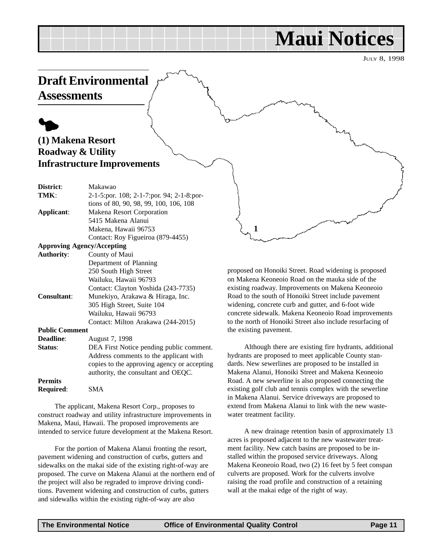## **Maui Notices**

JULY 8, 1998

## <span id="page-10-0"></span>**Draft Environmental**

**Assessments**

## $\blacklozenge$ **(1) Makena Resort Roadway & Utility Infrastructure Improvements**

| District:             | Makawao                                     |
|-----------------------|---------------------------------------------|
| TMK:                  | 2-1-5:por. 108; 2-1-7:por. 94; 2-1-8:por-   |
|                       | tions of 80, 90, 98, 99, 100, 106, 108      |
| Applicant:            | Makena Resort Corporation                   |
|                       | 5415 Makena Alanui                          |
|                       | Makena, Hawaii 96753                        |
|                       | Contact: Roy Figueiroa (879-4455)           |
|                       | <b>Approving Agency/Accepting</b>           |
| <b>Authority:</b>     | County of Maui                              |
|                       | Department of Planning                      |
|                       | 250 South High Street                       |
|                       | Wailuku, Hawaii 96793                       |
|                       | Contact: Clayton Yoshida (243-7735)         |
| Consultant:           | Munekiyo, Arakawa & Hiraga, Inc.            |
|                       | 305 High Street, Suite 104                  |
|                       | Wailuku, Hawaii 96793                       |
|                       | Contact: Milton Arakawa (244-2015)          |
| <b>Public Comment</b> |                                             |
| <b>Deadline:</b>      | August 7, 1998                              |
| Status:               | DEA First Notice pending public comment.    |
|                       | Address comments to the applicant with      |
|                       | copies to the epproving egency or eccepting |

copies to the approving agency or accepting authority, the consultant and OEQC. **Permits Required**: SMA

The applicant, Makena Resort Corp., proposes to construct roadway and utility infrastructure improvements in Makena, Maui, Hawaii. The proposed improvements are intended to service future development at the Makena Resort.

For the portion of Makena Alanui fronting the resort, pavement widening and construction of curbs, gutters and sidewalks on the makai side of the existing right-of-way are proposed. The curve on Makena Alanui at the northern end of the project will also be regraded to improve driving conditions. Pavement widening and construction of curbs, gutters and sidewalks within the existing right-of-way are also

proposed on Honoiki Street. Road widening is proposed on Makena Keoneoio Road on the mauka side of the existing roadway. Improvements on Makena Keoneoio Road to the south of Honoiki Street include pavement widening, concrete curb and gutter, and 6-foot wide concrete sidewalk. Makena Keoneoio Road improvements to the north of Honoiki Street also include resurfacing of the existing pavement.

**1**

Although there are existing fire hydrants, additional hydrants are proposed to meet applicable County standards. New sewerlines are proposed to be installed in Makena Alanui, Honoiki Street and Makena Keoneoio Road. A new sewerline is also proposed connecting the existing golf club and tennis complex with the sewerline in Makena Alanui. Service driveways are proposed to extend from Makena Alanui to link with the new wastewater treatment facility.

A new drainage retention basin of approximately 13 acres is proposed adjacent to the new wastewater treatment facility. New catch basins are proposed to be installed within the proposed service driveways. Along Makena Keoneoio Road, two (2) 16 feet by 5 feet conspan culverts are proposed. Work for the culverts involve raising the road profile and construction of a retaining wall at the makai edge of the right of way.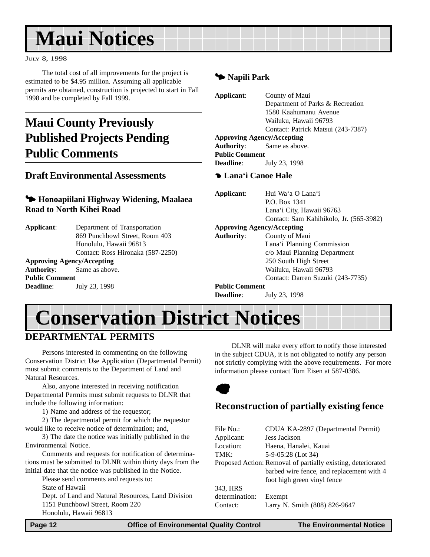## <span id="page-11-0"></span>**Maui Notices**

#### JULY 8, 1998

The total cost of all improvements for the project is estimated to be \$4.95 million. Assuming all applicable permits are obtained, construction is projected to start in Fall 1998 and be completed by Fall 1999.

## **Maui County Previously Published Projects Pending Public Comments**

#### **Draft Environmental Assessments**

#### 3 **Honoapiilani Highway Widening, Maalaea Road to North Kihei Road**

| Applicant: | Department of Transportation      |
|------------|-----------------------------------|
|            | 869 Punchbowl Street, Room 403    |
|            | Honolulu, Hawaii 96813            |
|            | Contact: Ross Hironaka (587-2250) |

### **Approving Agency/Accepting**

**Authority**: Same as above. **Public Comment Deadline**: July 23, 1998

#### 3 **Napili Park**

| Applicant:            | County of Maui                     |
|-----------------------|------------------------------------|
|                       | Department of Parks & Recreation   |
|                       | 1580 Kaahumanu Avenue              |
|                       | Wailuku, Hawaii 96793              |
|                       | Contact: Patrick Matsui (243-7387) |
|                       | <b>Approving Agency/Accepting</b>  |
|                       | <b>Authority:</b> Same as above.   |
| <b>Public Comment</b> |                                    |
| <b>Deadline:</b>      | July 23, 1998                      |

#### 4 **Lana'i Canoe Hale**

| Applicant:            | Hui Wa'a O Lana'i                       |
|-----------------------|-----------------------------------------|
|                       | P.O. Box 1341                           |
|                       | Lana'i City, Hawaii 96763               |
|                       | Contact: Sam Kahihikolo, Jr. (565-3982) |
|                       | <b>Approving Agency/Accepting</b>       |
| <b>Authority:</b>     | County of Maui                          |
|                       | Lana'i Planning Commission              |
|                       | c/o Maui Planning Department            |
|                       | 250 South High Street                   |
|                       | Wailuku, Hawaii 96793                   |
|                       | Contact: Darren Suzuki (243-7735)       |
| <b>Public Comment</b> |                                         |
| <b>Deadline:</b>      | July 23, 1998                           |

## **Conservation District Notices**

## **DEPARTMENTAL PERMITS**

Persons interested in commenting on the following Conservation District Use Application (Departmental Permit) must submit comments to the Department of Land and Natural Resources.

Also, anyone interested in receiving notification Departmental Permits must submit requests to DLNR that include the following information:

1) Name and address of the requestor;

2) The departmental permit for which the requestor would like to receive notice of determination; and,

3) The date the notice was initially published in the Environmental Notice.

Comments and requests for notification of determinations must be submitted to DLNR within thirty days from the initial date that the notice was published in the Notice.

Please send comments and requests to:

State of Hawaii

Dept. of Land and Natural Resources, Land Division 1151 Punchbowl Street, Room 220 Honolulu, Hawaii 96813

DLNR will make every effort to notify those interested in the subject CDUA, it is not obligated to notify any person not strictly complying with the above requirements. For more information please contact Tom Eisen at 587-0386.



### **Reconstruction of partially existing fence**

| File No.:      | CDUA KA-2897 (Departmental Permit)                           |
|----------------|--------------------------------------------------------------|
| Applicant:     | Jess Jackson                                                 |
| Location:      | Haena, Hanalei, Kauai                                        |
| TMK:           | 5-9-05:28 (Lot 34)                                           |
|                | Proposed Action: Removal of partially existing, deteriorated |
|                | barbed wire fence, and replacement with 4                    |
|                | foot high green vinyl fence                                  |
| 343, HRS       |                                                              |
| determination: | Exempt                                                       |
| Contact:       | Larry N. Smith (808) 826-9647                                |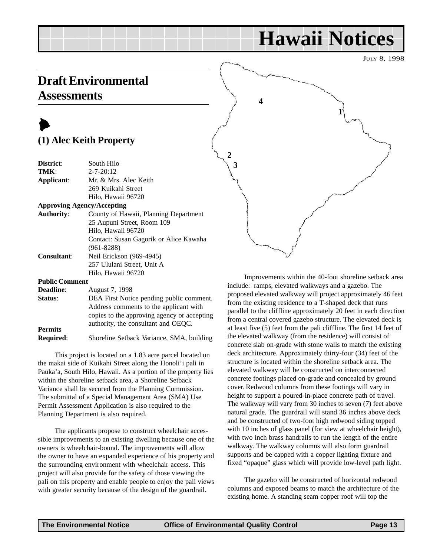## **Hawaii Notices**

JULY 8, 1998

## <span id="page-12-0"></span>**Draft Environmental Assessments**

## $\blacktriangleright$ **(1) Alec Keith Property**

| District:                         | South Hilo                             |
|-----------------------------------|----------------------------------------|
|                                   |                                        |
| TMK:                              | $2 - 7 - 20:12$                        |
| Applicant:                        | Mr. & Mrs. Alec Keith                  |
|                                   | 269 Kuikahi Street                     |
|                                   | Hilo, Hawaii 96720                     |
| <b>Approving Agency/Accepting</b> |                                        |
| <b>Authority:</b>                 | County of Hawaii, Planning Department  |
|                                   | 25 Aupuni Street, Room 109             |
|                                   | Hilo, Hawaii 96720                     |
|                                   | Contact: Susan Gagorik or Alice Kawaha |
|                                   | $(961 - 8288)$                         |
| Consultant:                       | Neil Erickson (969-4945)               |
|                                   | 257 Ululani Street, Unit A             |
|                                   | Hilo, Hawaii 96720                     |
| <b>Public Comment</b>             |                                        |
| <b>Deadline:</b>                  | August 7, 1998                         |
|                                   |                                        |

| Status:          | DEA First Notice pending public comment.    |
|------------------|---------------------------------------------|
|                  | Address comments to the applicant with      |
|                  | copies to the approving agency or accepting |
|                  | authority, the consultant and OEOC.         |
| <b>Permits</b>   |                                             |
| <b>Required:</b> | Shoreline Setback Variance, SMA, building   |

This project is located on a 1.83 acre parcel located on the makai side of Kuikahi Street along the Honoli'i pali in Pauka'a, South Hilo, Hawaii. As a portion of the property lies within the shoreline setback area, a Shoreline Setback Variance shall be secured from the Planning Commission. The submittal of a Special Management Area (SMA) Use Permit Assessment Application is also required to the Planning Department is also required.

The applicants propose to construct wheelchair accessible improvements to an existing dwelling because one of the owners is wheelchair-bound. The improvements will allow the owner to have an expanded experience of his property and the surrounding environment with wheelchair access. This project will also provide for the safety of those viewing the pali on this property and enable people to enjoy the pali views with greater security because of the design of the guardrail.



Improvements within the 40-foot shoreline setback area include: ramps, elevated walkways and a gazebo. The proposed elevated walkway will project approximately 46 feet from the existing residence to a T-shaped deck that runs parallel to the cliffline approximately 20 feet in each direction from a central covered gazebo structure. The elevated deck is at least five (5) feet from the pali cliffline. The first 14 feet of the elevated walkway (from the residence) will consist of concrete slab on-grade with stone walls to match the existing deck architecture. Approximately thirty-four (34) feet of the structure is located within the shoreline setback area. The elevated walkway will be constructed on interconnected concrete footings placed on-grade and concealed by ground cover. Redwood columns from these footings will vary in height to support a poured-in-place concrete path of travel. The walkway will vary from 30 inches to seven (7) feet above natural grade. The guardrail will stand 36 inches above deck and be constructed of two-foot high redwood siding topped with 10 inches of glass panel (for view at wheelchair height), with two inch brass handrails to run the length of the entire walkway. The walkway columns will also form guardrail supports and be capped with a copper lighting fixture and fixed "opaque" glass which will provide low-level path light.

The gazebo will be constructed of horizontal redwood columns and exposed beams to match the architecture of the existing home. A standing seam copper roof will top the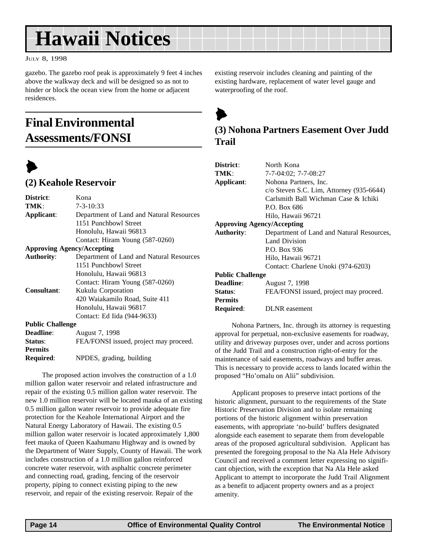## <span id="page-13-0"></span>**Hawaii Notices**

JULY 8, 1998

gazebo. The gazebo roof peak is approximately 9 feet 4 inches above the walkway deck and will be designed so as not to hinder or block the ocean view from the home or adjacent residences.

## **Final Environmental Assessments/FONSI**



#### **(2) Keahole Reservoir**

| District:               | Kona                                     |
|-------------------------|------------------------------------------|
| TMK:                    | $7 - 3 - 10:33$                          |
| Applicant:              | Department of Land and Natural Resources |
|                         | 1151 Punchbowl Street                    |
|                         | Honolulu, Hawaii 96813                   |
|                         | Contact: Hiram Young (587-0260)          |
|                         | <b>Approving Agency/Accepting</b>        |
| <b>Authority:</b>       | Department of Land and Natural Resources |
|                         | 1151 Punchbowl Street                    |
|                         | Honolulu, Hawaii 96813                   |
|                         | Contact: Hiram Young (587-0260)          |
| <b>Consultant:</b>      | Kukulu Corporation                       |
|                         | 420 Waiakamilo Road, Suite 411           |
|                         | Honolulu, Hawaii 96817                   |
|                         | Contact: Ed Iida (944-9633)              |
| <b>Public Challenge</b> |                                          |
| <b>Deadline:</b>        | August 7, 1998                           |

| <b>Deadline:</b> | August 7, 1998                         |
|------------------|----------------------------------------|
| Status:          | FEA/FONSI issued, project may proceed. |
| <b>Permits</b>   |                                        |
| <b>Required:</b> | NPDES, grading, building               |

The proposed action involves the construction of a 1.0 million gallon water reservoir and related infrastructure and repair of the existing 0.5 million gallon water reservoir. The new 1.0 million reservoir will be located mauka of an existing 0.5 million gallon water reservoir to provide adequate fire protection for the Keahole International Airport and the Natural Energy Laboratory of Hawaii. The existing 0.5 million gallon water reservoir is located approximately 1,800 feet mauka of Queen Kaahumanu Highway and is owned by the Department of Water Supply, County of Hawaii. The work includes construction of a 1.0 million gallon reinforced concrete water reservoir, with asphaltic concrete perimeter and connecting road, grading, fencing of the reservoir property, piping to connect existing piping to the new reservoir, and repair of the existing reservoir. Repair of the

existing reservoir includes cleaning and painting of the existing hardware, replacement of water level gauge and waterproofing of the roof.

 $\blacktriangleright$ 

### **(3) Nohona Partners Easement Over Judd Trail**

| <b>District:</b>                    | North Kona                                  |  |  |  |  |
|-------------------------------------|---------------------------------------------|--|--|--|--|
| TMK:                                | $7-7-04:02$ ; $7-7-08:27$                   |  |  |  |  |
| Applicant:<br>Nohona Partners, Inc. |                                             |  |  |  |  |
|                                     | $c$ /o Steven S.C. Lim, Attorney (935-6644) |  |  |  |  |
|                                     | Carlsmith Ball Wichman Case & Ichiki        |  |  |  |  |
|                                     | P.O. Box 686                                |  |  |  |  |
|                                     | Hilo, Hawaii 96721                          |  |  |  |  |
| <b>Approving Agency/Accepting</b>   |                                             |  |  |  |  |
| <b>Authority:</b>                   | Department of Land and Natural Resources,   |  |  |  |  |
|                                     | Land Division                               |  |  |  |  |
|                                     | P.O. Box 936                                |  |  |  |  |
|                                     | Hilo, Hawaii 96721                          |  |  |  |  |
|                                     | Contact: Charlene Unoki (974-6203)          |  |  |  |  |
| Public Challenge                    |                                             |  |  |  |  |
| <b>Deadline</b> :                   | August 7, 1998                              |  |  |  |  |
| <b>Status:</b>                      | FEA/FONSI issued, project may proceed.      |  |  |  |  |
| Permits                             |                                             |  |  |  |  |
| <b>Required:</b>                    | <b>DLNR</b> easement                        |  |  |  |  |
|                                     |                                             |  |  |  |  |

Nohona Partners, Inc. through its attorney is requesting approval for perpetual, non-exclusive easements for roadway, utility and driveway purposes over, under and across portions of the Judd Trail and a construction right-of-entry for the maintenance of said easements, roadways and buffer areas. This is necessary to provide access to lands located within the proposed "Ho'omalu on Alii" subdivision.

Applicant proposes to preserve intact portions of the historic alignment, pursuant to the requirements of the State Historic Preservation Division and to isolate remaining portions of the historic alignment within preservation easements, with appropriate 'no-build' buffers designated alongside each easement to separate them from developable areas of the proposed agricultural subdivision. Applicant has presented the foregoing proposal to the Na Ala Hele Advisory Council and received a comment letter expressing no significant objection, with the exception that Na Ala Hele asked Applicant to attempt to incorporate the Judd Trail Alignment as a benefit to adjacent property owners and as a project amenity.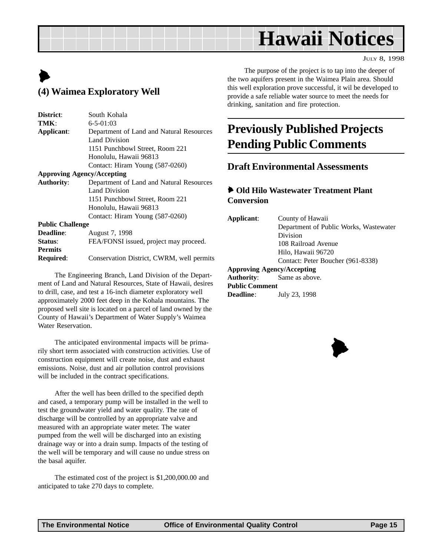## **Hawaii Notices**

JULY 8, 1998

## <span id="page-14-0"></span> $\blacktriangleright$ **(4) Waimea Exploratory Well**

| District:               | South Kohala                                                                                                                                                                                                                                                                                                                           |
|-------------------------|----------------------------------------------------------------------------------------------------------------------------------------------------------------------------------------------------------------------------------------------------------------------------------------------------------------------------------------|
| TMK:                    | $6 - 5 - 01:03$                                                                                                                                                                                                                                                                                                                        |
| Applicant:              | Department of Land and Natural Resources                                                                                                                                                                                                                                                                                               |
|                         | Land Division                                                                                                                                                                                                                                                                                                                          |
|                         | 1151 Punchbowl Street, Room 221                                                                                                                                                                                                                                                                                                        |
|                         | Honolulu, Hawaii 96813                                                                                                                                                                                                                                                                                                                 |
|                         | Contact: Hiram Young (587-0260)                                                                                                                                                                                                                                                                                                        |
|                         | <b>Approving Agency/Accepting</b>                                                                                                                                                                                                                                                                                                      |
| <b>Authority:</b>       | Department of Land and Natural Resources                                                                                                                                                                                                                                                                                               |
|                         | Land Division                                                                                                                                                                                                                                                                                                                          |
|                         | 1151 Punchbowl Street, Room 221                                                                                                                                                                                                                                                                                                        |
|                         | Honolulu, Hawaii 96813                                                                                                                                                                                                                                                                                                                 |
|                         | Contact: Hiram Young (587-0260)                                                                                                                                                                                                                                                                                                        |
| <b>Public Challenge</b> |                                                                                                                                                                                                                                                                                                                                        |
| <b>Deadline:</b>        | August 7, 1998                                                                                                                                                                                                                                                                                                                         |
| $\sim$ $\sim$           | $\Gamma\Gamma$ and $\Gamma$ and $\Gamma$ and $\Gamma$ and $\Gamma$ and $\Gamma$ and $\Gamma$ and $\Gamma$ and $\Gamma$ and $\Gamma$ and $\Gamma$ and $\Gamma$ and $\Gamma$ and $\Gamma$ and $\Gamma$ and $\Gamma$ and $\Gamma$ and $\Gamma$ and $\Gamma$ and $\Gamma$ and $\Gamma$ and $\Gamma$ and $\Gamma$ and $\Gamma$ and $\Gamma$ |

**Status:** FEA/FONSI issued, project may proceed. **Permits Required**: Conservation District, CWRM, well permits

The Engineering Branch, Land Division of the Department of Land and Natural Resources, State of Hawaii, desires to drill, case, and test a 16-inch diameter exploratory well approximately 2000 feet deep in the Kohala mountains. The proposed well site is located on a parcel of land owned by the County of Hawaii's Department of Water Supply's Waimea Water Reservation.

The anticipated environmental impacts will be primarily short term associated with construction activities. Use of construction equipment will create noise, dust and exhaust emissions. Noise, dust and air pollution control provisions will be included in the contract specifications.

After the well has been drilled to the specified depth and cased, a temporary pump will be installed in the well to test the groundwater yield and water quality. The rate of discharge will be controlled by an appropriate valve and measured with an appropriate water meter. The water pumped from the well will be discharged into an existing drainage way or into a drain sump. Impacts of the testing of the well will be temporary and will cause no undue stress on the basal aquifer.

The estimated cost of the project is \$1,200,000.00 and anticipated to take 270 days to complete.

The purpose of the project is to tap into the deeper of the two aquifers present in the Waimea Plain area. Should this well exploration prove successful, it wil be developed to provide a safe reliable water source to meet the needs for drinking, sanitation and fire protection.

## **Previously Published Projects Pending Public Comments**

#### **Draft Environmental Assessments**

#### 6 **Old Hilo Wastewater Treatment Plant Conversion**

| Applicant:                        | County of Hawaii                       |
|-----------------------------------|----------------------------------------|
|                                   | Department of Public Works, Wastewater |
|                                   | Division                               |
|                                   | 108 Railroad Avenue                    |
|                                   | Hilo, Hawaii 96720                     |
|                                   | Contact: Peter Boucher (961-8338)      |
| <b>Approving Agency/Accepting</b> |                                        |
|                                   | <b>Authority:</b> Same as above.       |
| <b>Public Comment</b>             |                                        |
| <b>Deadline:</b>                  | July 23, 1998                          |
|                                   |                                        |

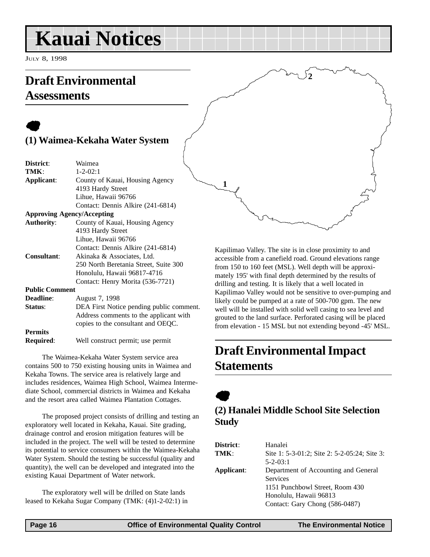## <span id="page-15-0"></span>**Kauai Notices**

JULY 8, 1998

## **Draft Environmental Assessments**

## $\bullet$ **(1) Waimea-Kekaha Water System**

| District:             | Waimea                                   |
|-----------------------|------------------------------------------|
| TMK:                  | $1 - 2 - 02:1$                           |
| Applicant:            | County of Kauai, Housing Agency          |
|                       | 4193 Hardy Street                        |
|                       | Lihue, Hawaii 96766                      |
|                       | Contact: Dennis Alkire (241-6814)        |
|                       | <b>Approving Agency/Accepting</b>        |
| <b>Authority:</b>     | County of Kauai, Housing Agency          |
|                       | 4193 Hardy Street                        |
|                       | Lihue, Hawaii 96766                      |
|                       | Contact: Dennis Alkire (241-6814)        |
| <b>Consultant:</b>    | Akinaka & Associates, Ltd.               |
|                       | 250 North Beretania Street, Suite 300    |
|                       | Honolulu, Hawaii 96817-4716              |
|                       | Contact: Henry Morita (536-7721)         |
| <b>Public Comment</b> |                                          |
| <b>Deadline:</b>      | August 7, 1998                           |
| Status:               | DEA First Notice pending public comment. |
|                       | Address comments to the applicant with   |
|                       | copies to the consultant and OEQC.       |
| <b>Permits</b>        |                                          |
| <b>Required:</b>      | Well construct permit; use permit        |

The Waimea-Kekaha Water System service area contains 500 to 750 existing housing units in Waimea and Kekaha Towns. The service area is relatively large and includes residences, Waimea High School, Waimea Intermediate School, commercial districts in Waimea and Kekaha and the resort area called Waimea Plantation Cottages.

The proposed project consists of drilling and testing an exploratory well located in Kekaha, Kauai. Site grading, drainage control and erosion mitigation features will be included in the project. The well will be tested to determine its potential to service consumers within the Waimea-Kekaha Water System. Should the testing be successful (quality and quantity), the well can be developed and integrated into the existing Kauai Department of Water network.

The exploratory well will be drilled on State lands leased to Kekaha Sugar Company (TMK: (4)1-2-02:1) in Kapilimao Valley. The site is in close proximity to and accessible from a canefield road. Ground elevations range from 150 to 160 feet (MSL). Well depth will be approximately 195' with final depth determined by the results of drilling and testing. It is likely that a well located in Kapilimao Valley would not be sensitive to over-pumping and likely could be pumped at a rate of 500-700 gpm. The new well will be installed with solid well casing to sea level and grouted to the land surface. Perforated casing will be placed from elevation - 15 MSL but not extending beyond -45' MSL.

**2**

## **Draft Environmental Impact Statements**

 $\bullet$ 

**1**

## **(2) Hanalei Middle School Site Selection Study**

| <b>District:</b> | Hanalei                                      |
|------------------|----------------------------------------------|
| TMK:             | Site 1: 5-3-01:2; Site 2: 5-2-05:24; Site 3: |
|                  | $5 - 2 - 03:1$                               |
| Applicant:       | Department of Accounting and General         |
|                  | <b>Services</b>                              |
|                  | 1151 Punchbowl Street, Room 430              |
|                  | Honolulu, Hawaii 96813                       |
|                  | Contact: Gary Chong (586-0487)               |
|                  |                                              |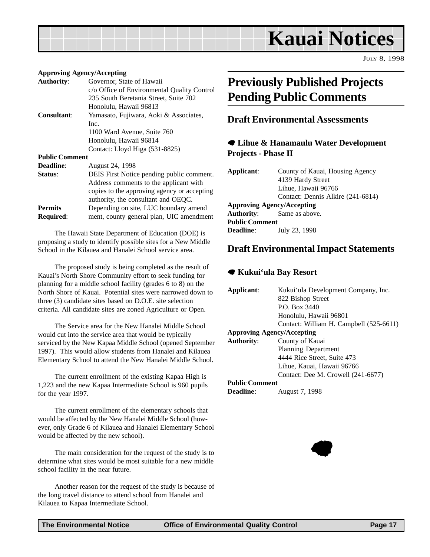<span id="page-16-0"></span>

JULY 8, 1998

#### **Approving Agency/Accepting**

| <b>Authority:</b>     | Governor, State of Hawaii                   |
|-----------------------|---------------------------------------------|
|                       | c/o Office of Environmental Quality Control |
|                       | 235 South Beretania Street, Suite 702       |
|                       | Honolulu, Hawaii 96813                      |
| <b>Consultant:</b>    | Yamasato, Fujiwara, Aoki & Associates,      |
|                       | Inc.                                        |
|                       | 1100 Ward Avenue, Suite 760                 |
|                       | Honolulu, Hawaii 96814                      |
|                       | Contact: Lloyd Higa (531-8825)              |
| <b>Public Comment</b> |                                             |
| <b>Deadline:</b>      | August 24, 1998                             |
| Status:               | DEIS First Notice pending public comment.   |
|                       | Address comments to the applicant with      |
|                       | copies to the approving agency or accepting |
|                       | authority, the consultant and OEQC.         |
| <b>Permits</b>        | Depending on site, LUC boundary amend       |
| <b>Required:</b>      | ment, county general plan, UIC amendment    |
|                       |                                             |

The Hawaii State Department of Education (DOE) is proposing a study to identify possible sites for a New Middle School in the Kilauea and Hanalei School service area.

The proposed study is being completed as the result of Kauai's North Shore Community effort to seek funding for planning for a middle school facility (grades 6 to 8) on the North Shore of Kauai. Potential sites were narrowed down to three (3) candidate sites based on D.O.E. site selection criteria. All candidate sites are zoned Agriculture or Open.

The Service area for the New Hanalei Middle School would cut into the service area that would be typically serviced by the New Kapaa Middle School (opened September 1997). This would allow students from Hanalei and Kilauea Elementary School to attend the New Hanalei Middle School.

The current enrollment of the existing Kapaa High is 1,223 and the new Kapaa Intermediate School is 960 pupils for the year 1997.

The current enrollment of the elementary schools that would be affected by the New Hanalei Middle School (however, only Grade 6 of Kilauea and Hanalei Elementary School would be affected by the new school).

The main consideration for the request of the study is to determine what sites would be most suitable for a new middle school facility in the near future.

Another reason for the request of the study is because of the long travel distance to attend school from Hanalei and Kilauea to Kapaa Intermediate School.

## **Previously Published Projects Pending Public Comments**

#### **Draft Environmental Assessments**

#### 7 **Lihue & Hanamaulu Water Development Projects - Phase II**

| Applicant:                        | County of Kauai, Housing Agency   |  |  |  |  |
|-----------------------------------|-----------------------------------|--|--|--|--|
|                                   | 4139 Hardy Street                 |  |  |  |  |
|                                   | Lihue, Hawaii 96766               |  |  |  |  |
|                                   | Contact: Dennis Alkire (241-6814) |  |  |  |  |
| <b>Approving Agency/Accepting</b> |                                   |  |  |  |  |
| <b>Authority:</b> Same as above.  |                                   |  |  |  |  |
| <b>Public Comment</b>             |                                   |  |  |  |  |
| <b>Deadline:</b>                  | July 23, 1998                     |  |  |  |  |

#### **Draft Environmental Impact Statements**

#### 7 **Kukui'ula Bay Resort**

| Applicant:            | Kukui 'ula Development Company, Inc.    |  |
|-----------------------|-----------------------------------------|--|
|                       | 822 Bishop Street                       |  |
|                       | P.O. Box 3440                           |  |
|                       | Honolulu, Hawaii 96801                  |  |
|                       | Contact: William H. Campbell (525-6611) |  |
|                       | <b>Approving Agency/Accepting</b>       |  |
| <b>Authority:</b>     | County of Kauai                         |  |
|                       | <b>Planning Department</b>              |  |
|                       | 4444 Rice Street, Suite 473             |  |
|                       | Lihue, Kauai, Hawaii 96766              |  |
|                       | Contact: Dee M. Crowell (241-6677)      |  |
| <b>Public Comment</b> |                                         |  |
| <b>Deadline:</b>      | August 7, 1998                          |  |

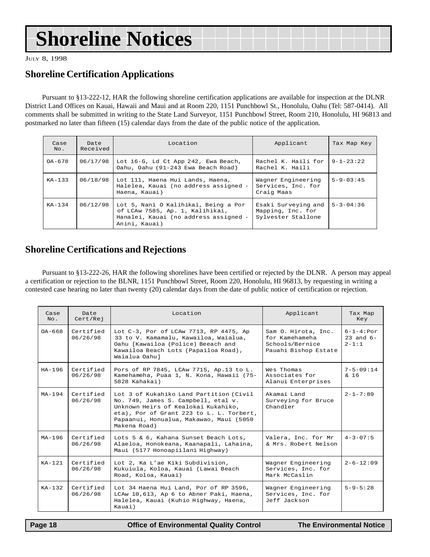JULY 8, 1998

### **Shoreline Certification Applications**

Pursuant to §13-222-12, HAR the following shoreline certification applications are available for inspection at the DLNR District Land Offices on Kauai, Hawaii and Maui and at Room 220, 1151 Punchbowl St., Honolulu, Oahu (Tel: 587-0414). All comments shall be submitted in writing to the State Land Surveyor, 1151 Punchbowl Street, Room 210, Honolulu, HI 96813 and postmarked no later than fifteen (15) calendar days from the date of the public notice of the application.

|             |                  | <b>Shoreline Notices</b>                                                                                                                                                                                                                                                                                                                                                                                                                                                     |                                                                |                   |  |
|-------------|------------------|------------------------------------------------------------------------------------------------------------------------------------------------------------------------------------------------------------------------------------------------------------------------------------------------------------------------------------------------------------------------------------------------------------------------------------------------------------------------------|----------------------------------------------------------------|-------------------|--|
| Y 8, 1998   |                  |                                                                                                                                                                                                                                                                                                                                                                                                                                                                              |                                                                |                   |  |
|             |                  | oreline Certification Applications                                                                                                                                                                                                                                                                                                                                                                                                                                           |                                                                |                   |  |
|             |                  | Pursuant to §13-222-12, HAR the following shoreline certification applications are available for inspection at the DL<br>trict Land Offices on Kauai, Hawaii and Maui and at Room 220, 1151 Punchbowl St., Honolulu, Oahu (Tel: 587-0414).<br>iments shall be submitted in writing to the State Land Surveyor, 1151 Punchbowl Street, Room 210, Honolulu, HI 9681<br>tmarked no later than fifteen (15) calendar days from the date of the public notice of the application. |                                                                |                   |  |
| Case<br>No. | Date<br>Received | Location                                                                                                                                                                                                                                                                                                                                                                                                                                                                     | Applicant                                                      | Tax Map Key       |  |
| OA-678      | 06/17/98         | Lot 16-G, Ld Ct App 242, Ewa Beach,<br>Oahu, Oahu (91-243 Ewa Beach Road)                                                                                                                                                                                                                                                                                                                                                                                                    | Rachel K. Haili for<br>Rachel K. Haili                         | $9 - 1 - 23:22$   |  |
| $KA-133$    | 06/18/98         | Lot 111, Haena Hui Lands, Haena,<br>Halelea, Kauai (no address assigned -<br>Haena, Kauai)                                                                                                                                                                                                                                                                                                                                                                                   | Wagner Engineering<br>Services, Inc. for<br>Craig Maas         | $5 - 9 - 03 : 45$ |  |
| $KA-134$    | 06/12/98         | Lot 5, Nani O Kalihikai, Being a Por<br>of LCAw 7585, Ap. 1, Kalihikai,<br>Hanalei, Kauai (no address assigned -<br>Anini, Kauai)                                                                                                                                                                                                                                                                                                                                            | Esaki Surveying and<br>Mapping, Inc. for<br>Sylvester Stallone | $5 - 3 - 04:36$   |  |
|             |                  | oreline Certifications and Rejections<br>Pursuant to §13-222-26, HAR the following shorelines have been certified or rejected by the DLNR. A person may a<br>rtification or rejection to the BLNR, 1151 Punchbowl Street, Room 220, Honolulu, HI 96813, by requesting in writing a<br>tested case hearing no later than twenty (20) calendar days from the date of public notice of certification or rejection.                                                              |                                                                |                   |  |
| Case        | Date             | Location                                                                                                                                                                                                                                                                                                                                                                                                                                                                     | Applicant                                                      | Tax Map           |  |

### **Shoreline Certifications and Rejections**

Pursuant to §13-222-26, HAR the following shorelines have been certified or rejected by the DLNR. A person may appeal a certification or rejection to the BLNR, 1151 Punchbowl Street, Room 220, Honolulu, HI 96813, by requesting in writing a contested case hearing no later than twenty (20) calendar days from the date of public notice of certification or rejection.

| Case<br>No. | Date<br>Cert/Rej      | Location                                                                                                                                                                                                                     | Applicant                                                                        | Tax Map<br>Key                                  |
|-------------|-----------------------|------------------------------------------------------------------------------------------------------------------------------------------------------------------------------------------------------------------------------|----------------------------------------------------------------------------------|-------------------------------------------------|
| $0A-668$    | Certified<br>06/26/98 | Lot C-3, Por of LCAw 7713, RP 4475, Ap<br>33 to V. Kamamalu, Kawailoa, Waialua,<br>Oahu [Kawailoa (Police) Beeach and<br>Kawailoa Beach Lots (Papailoa Road),<br>Waialua Oahul                                               | Sam O. Hirota, Inc.<br>for Kamehameha<br>Schools/Bernice<br>Pauahi Bishop Estate | $6 - 1 - 4 : Por$<br>$23$ and $6-$<br>$2 - 1:1$ |
| $HA-196$    | Certified<br>06/26/98 | Pors of RP 7845, LCAw 7715, Ap.13 to L.<br>Kamehameha, Puaa 1, N. Kona, Hawaii (75-<br>5828 Kahakai)                                                                                                                         | Wes Thomas<br>Associates for<br>Alanui Enterprises                               | $7 - 5 - 09:14$<br>$\& 16$                      |
| $MA - 194$  | Certified<br>06/26/98 | Lot 3 of Kukahiko Land Partition (Civil<br>No. 749, James S. Campbell, etal v.<br>Unknown Heirs of Kealokai Kukahiko,<br>eta), Por of Grant 223 to L. L. Torbert,<br>Papaanui, Honualua, Makawao, Maui (5050<br>Makena Road) | Akamai Land<br>Surveying for Bruce<br>Chandler                                   | $2 - 1 - 7:89$                                  |
| $MA-196$    | Certified<br>06/26/98 | Lots 5 & 6, Kahana Sunset Beach Lots,<br>Alaeloa, Honokeana, Kaanapali, Lahaina,<br>Maui (5177 Honoapiilani Highway)                                                                                                         | Valera, Inc. for Mr<br>& Mrs. Robert Nelson                                      | $4 - 3 - 07:5$                                  |
| $KA-121$    | Certified<br>06/26/98 | Lot 2, Ka L'ae Kiki Subdivision,<br>Kukuiula, Koloa, Kauai (Lawai Beach<br>Road, Koloa, Kauai)                                                                                                                               | Wagner Engineering<br>Services, Inc. for<br>Mark McCaslin                        | $2 - 6 - 12:09$                                 |
| $KA-1.32$   | Certified<br>06/26/98 | Lot 34 Haena Hui Land, Por of RP 3596,<br>LCAw 10,613, Ap 6 to Abner Paki, Haena,<br>Halelea, Kauai (Kuhio Highway, Haena,<br>Kauai)                                                                                         | Wagner Engineering<br>Services, Inc. for<br>Jeff Jackson                         | $5 - 9 - 5:28$                                  |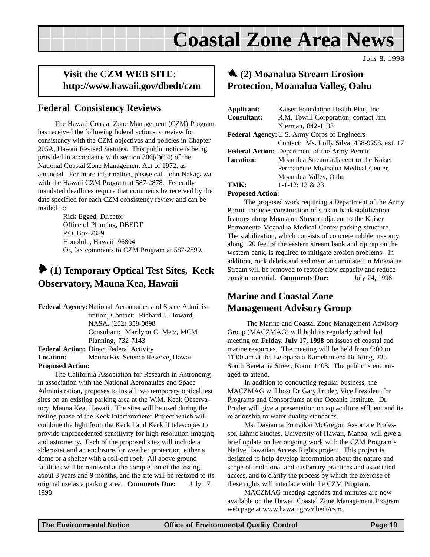## **Coastal Zone Area News**

JULY 8, 1998

### <span id="page-18-0"></span>**Visit the CZM WEB SITE: http://www.hawaii.gov/dbedt/czm**

## **Federal Consistency Reviews**

The Hawaii Coastal Zone Management (CZM) Program has received the following federal actions to review for consistency with the CZM objectives and policies in Chapter 205A, Hawaii Revised Statutes. This public notice is being provided in accordance with section 306(d)(14) of the National Coastal Zone Management Act of 1972, as amended. For more information, please call John Nakagawa with the Hawaii CZM Program at 587-2878. Federally mandated deadlines require that comments be received by the date specified for each CZM consistency review and can be mailed to:

> Rick Egged, Director Office of Planning, DBEDT P.O. Box 2359 Honolulu, Hawaii 96804 Or, fax comments to CZM Program at 587-2899.

## 6 **(1) Temporary Optical Test Sites, Keck Observatory, Mauna Kea, Hawaii**

**Federal Agency:**National Aeronautics and Space Administration; Contact: Richard J. Howard, NASA, (202) 358-0898 Consultant: Marilynn C. Metz, MCM Planning, 732-7143 **Federal Action:** Direct Federal Activity

#### **Location:** Mauna Kea Science Reserve, Hawaii **Proposed Action:**

The California Association for Research in Astronomy, in association with the National Aeronautics and Space Administration, proposes to install two temporary optical test sites on an existing parking area at the W.M. Keck Observatory, Mauna Kea, Hawaii. The sites will be used during the testing phase of the Keck Interferometer Project which will combine the light from the Keck I and Keck II telescopes to provide unprecedented sensitivity for high resolution imaging and astrometry. Each of the proposed sites will include a siderostat and an enclosure for weather protection, either a dome or a shelter with a roll-off roof. All above ground facilities will be removed at the completion of the testing, about 3 years and 9 months, and the site will be restored to its original use as a parking area. **Comments Due:** July 17, 1998

## 1 **(2) Moanalua Stream Erosion Protection, Moanalua Valley, Oahu**

| Applicant:                                          | Kaiser Foundation Health Plan, Inc.           |  |  |
|-----------------------------------------------------|-----------------------------------------------|--|--|
| <b>Consultant:</b>                                  | R.M. Towill Corporation; contact Jim          |  |  |
|                                                     | Nierman, 842-1133                             |  |  |
| <b>Federal Agency: U.S. Army Corps of Engineers</b> |                                               |  |  |
|                                                     | Contact: Ms. Lolly Silva; 438-9258, ext. 17   |  |  |
|                                                     | Federal Action: Department of the Army Permit |  |  |
| <b>Location:</b>                                    | Moanalua Stream adjacent to the Kaiser        |  |  |
|                                                     | Permanente Moanalua Medical Center,           |  |  |
|                                                     | Moanalua Valley, Oahu                         |  |  |
| TMK:                                                | $1 - 1 - 12$ : 13 & 33                        |  |  |
| Darmard Antina                                      |                                               |  |  |

**Proposed Action:**

The proposed work requiring a Department of the Army Permit includes construction of stream bank stabilization features along Moanalua Stream adjacent to the Kaiser Permanente Moanalua Medical Center parking structure. The stabilization, which consists of concrete rubble masonry along 120 feet of the eastern stream bank and rip rap on the western bank, is required to mitigate erosion problems. In addition, rock debris and sediment accumulated in Moanalua Stream will be removed to restore flow capacity and reduce erosion potential. **Comments Due:** July 24, 1998

### **Marine and Coastal Zone Management Advisory Group**

 The Marine and Coastal Zone Management Advisory Group (MACZMAG) will hold its regularly scheduled meeting on **Friday, July 17, 1998** on issues of coastal and marine resources. The meeting will be held from 9:00 to 11:00 am at the Leiopapa a Kamehameha Building, 235 South Beretania Street, Room 1403. The public is encouraged to attend.

In addition to conducting regular business, the MACZMAG will host Dr Gary Pruder, Vice President for Programs and Consortiums at the Oceanic Institute. Dr. Pruder will give a presentation on aquaculture effluent and its relationship to water quality standards.

Ms. Davianna Pomaikai McGregor, Associate Professor, Ethnic Studies, University of Hawaii, Manoa, will give a brief update on her ongoing work with the CZM Program's Native Hawaiian Access Rights project. This project is designed to help develop information about the nature and scope of traditional and customary practices and associated access, and to clarify the process by which the exercise of these rights will interface with the CZM Program.

MACZMAG meeting agendas and minutes are now available on the Hawaii Coastal Zone Management Program web page at www.hawaii.gov/dbedt/czm.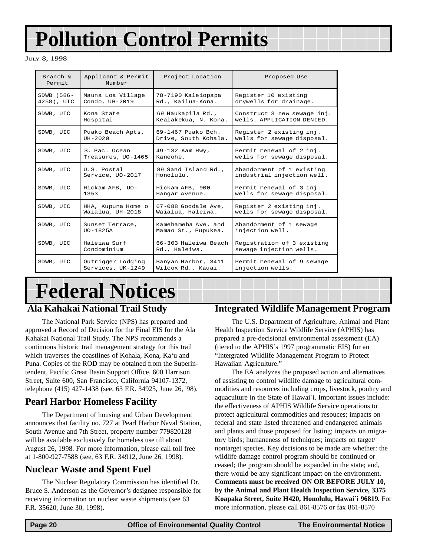## <span id="page-19-0"></span>**Pollution Control Permits**

JULY 8, 1998

| Branch $\&$<br>Permit | Applicant & Permit<br>Number | Project Location     | Proposed Use                |
|-----------------------|------------------------------|----------------------|-----------------------------|
| SDWB (586-            | Mauna Loa Village            | 78-7190 Kaleiopapa   | Register 10 existing        |
| 4258), UIC            | Condo, UH-2019               | Rd., Kailua-Kona.    | drywells for drainage.      |
| SDWB, UIC             | Kona State                   | 69 Haukapila Rd.,    | Construct 3 new sewage inj. |
|                       | Hospital                     | Kealakekua, N. Kona. | wells. APPLICATION DENIED.  |
| SDWB, UIC             | Puako Beach Apts,            | 69-1467 Puako Bch.   | Register 2 existing inj.    |
|                       | $UH - 2020$                  | Drive, South Kohala. | wells for sewage disposal.  |
| SDWB, UIC             | S. Pac. Ocean                | 49-132 Kam Hwy,      | Permit renewal of 2 inj.    |
|                       | Treasures, UO-1465           | Kaneohe.             | wells for sewage disposal.  |
| SDWB, UIC             | U.S. Postal                  | 89 Sand Island Rd.,  | Abandonment of 1 existing   |
|                       | Service, UO-2017             | Honolulu.            | industrial injection well.  |
| SDWB, UIC             | Hickam AFB, UO-              | Hickam AFB, 900      | Permit renewal of 3 inj.    |
|                       | 1353                         | Hangar Avenue.       | wells for sewage disposal.  |
| SDWB, UIC             | HHA, Kupuna Home o           | 67-088 Goodale Ave,  | Register 2 existing inj.    |
|                       | Waialua, UH-2018             | Waialua, Haleiwa.    | wells for sewage disposal.  |
| SDWB, UIC             | Sunset Terrace,              | Kamehameha Ave, and  | Abandonment of 1 sewage     |
|                       | $UO-1825A$                   | Mamao St., Pupukea.  | injection well.             |
| SDWB, UIC             | Haleiwa Surf                 | 66-303 Haleiwa Beach | Registration of 3 existing  |
|                       | Condominium                  | Rd., Haleiwa.        | sewage injection wells.     |
| SDWB, UIC             | Outrigger Lodging            | Banyan Harbor, 3411  | Permit renewal of 9 sewage  |
|                       | Services, UK-1249            | Wilcox Rd., Kauai.   | injection wells.            |

## **Federal Notices**

### **Ala Kahakai National Trail Study**

The National Park Service (NPS) has prepared and approved a Record of Decision for the Final EIS for the Ala Kahakai National Trail Study. The NPS recommends a continuous historic trail management strategy for this trail which traverses the coastlines of Kohala, Kona, Ka'u and Puna. Copies of the ROD may be obtained from the Superintendent, Pacific Great Basin Support Office, 600 Harrison Street, Suite 600, San Francisco, California 94107-1372, telephone (415) 427-1438 (see, 63 F.R. 34925, June 26, '98).

### **Pearl Harbor Homeless Facility**

The Department of housing and Urban Development announces that facility no. 727 at Pearl Harbor Naval Station, South Avenue and 7th Street, property number 779820128 will be available exclusively for homeless use till about August 26, 1998. For more information, please call toll free at 1-800-927-7588 (see, 63 F.R. 34912, June 26, 1998).

### **Nuclear Waste and Spent Fuel**

The Nuclear Regulatory Commission has identified Dr. Bruce S. Anderson as the Governor's designee responsible for receiving information on nuclear waste shipments (see 63 F.R. 35620, June 30, 1998).

#### **Integrated Wildlife Management Program**

The U.S. Department of Agriculture, Animal and Plant Health Inspection Service Wildlife Service (APHIS) has prepared a pre-decisional environmental assessment (EA) (tiered to the APHIS's 1997 programmatic EIS) for an "Intergrated Wildlife Management Program to Protect Hawaiian Agriculture."

The EA analyzes the proposed action and alternatives of assisting to control wildlife damage to agricultural commodities and resources including crops, livestock, poultry and aquaculture in the State of Hawai`i. Important issues include: the effectiveness of APHIS Wildlife Service operations to protect agricultural commodities and resouces; impacts on federal and state listed threatened and endangered animals and plants and those proposed for listing; impacts on migratory birds; humaneness of techniques; impacts on target/ nontarget species. Key decisions to be made are whether: the wildlife damage control program should be continued or ceased; the program should be expanded in the state; and, there would be any significant impact on the environment. **Comments must be received ON OR BEFORE JULY 10, by the Animal and Plant Health Inspection Service, 3375 Koapaka Street, Suite H420, Honolulu, Hawai`i 96819**. For more information, please call 861-8576 or fax 861-8570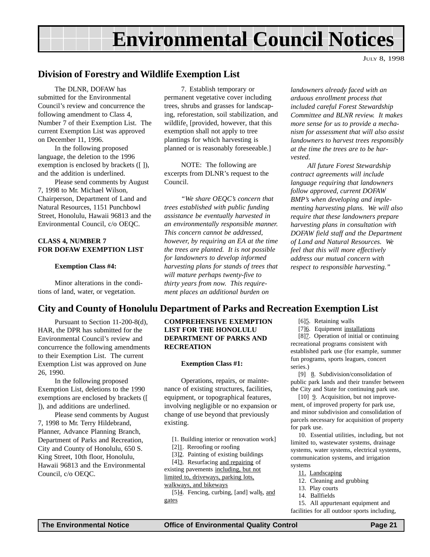## **Environmental Council Notices**

JULY 8, 1998

#### <span id="page-20-0"></span>**Division of Forestry and Wildlife Exemption List**

The DLNR, DOFAW has submitted for the Environmental Council's review and concurrence the following amendment to Class 4, Number 7 of their Exemption List. The current Exemption List was approved on December 11, 1996.

In the following proposed language, the deletion to the 1996 exemption is enclosed by brackets ([ ]), and the addition is underlined.

Please send comments by August 7, 1998 to Mr. Michael Wilson, Chairperson, Department of Land and Natural Resources, 1151 Punchbowl Street, Honolulu, Hawaii 96813 and the Environmental Council, c/o OEQC.

#### **CLASS 4, NUMBER 7 FOR DOFAW EXEMPTION LIST**

#### **Exemption Class #4:**

Minor alterations in the conditions of land, water, or vegetation.

7. Establish temporary or permanent vegetative cover including trees, shrubs and grasses for landscaping, reforestation, soil stabilization, and wildlife. [provided, however, that this exemption shall not apply to tree plantings for which harvesting is planned or is reasonably foreseeable.]

NOTE: The following are excerpts from DLNR's request to the Council.

*"We share OEQC's concern that trees established with public funding assistance be eventually harvested in an environmentally responsible manner. This concern cannot be addressed, however, by requiring an EA at the time the trees are planted. It is not possible for landowners to develop informed harvesting plans for stands of trees that will mature perhaps twenty-five to thirty years from now. This requirement places an additional burden on*

*landowners already faced with an arduous enrollment process that included careful Forest Stewardship Committee and BLNR review. It makes more sense for us to provide a mechanism for assessment that will also assist landowners to harvest trees responsibly at the time the trees are to be harvested.*

*All future Forest Stewardship contract agreements will include language requiring that landowners follow approved, current DOFAW BMP's when developing and implementing harvesting plans. We will also require that these landowners prepare harvesting plans in consultation with DOFAW field staff and the Department of Land and Natural Resources. We feel that this will more effectively address our mutual concern with respect to responsible harvesting."*

#### **City and County of Honolulu Department of Parks and Recreation Exemption List**

Pursuant to Section 11-200-8(d), HAR, the DPR has submitted for the Environmental Council's review and concurrence the following amendments to their Exemption List. The current Exemption List was approved on June 26, 1990.

In the following proposed Exemption List, deletions to the 1990 exemptions are enclosed by brackets ([ ]), and additions are underlined.

Please send comments by August 7, 1998 to Mr. Terry Hildebrand, Planner, Advance Planning Branch, Department of Parks and Recreation, City and County of Honolulu, 650 S. King Street, 10th floor, Honolulu, Hawaii 96813 and the Environmental Council, c/o OEQC.

#### **COMPREHENSIVE EXEMPTION LIST FOR THE HONOLULU DEPARTMENT OF PARKS AND RECREATION**

#### **Exemption Class #1:**

Operations, repairs, or maintenance of existing structures, facilities, equipment, or topographical features, involving negligible or no expansion or change of use beyond that previously existing.

[1. Building interior or renovation work]

[2]1. Reroofing or roofing

[3]2. Painting of existing buildings

[4]3. Resurfacing and repairing of existing pavements including, but not limited to, driveways, parking lots, walkways, and bikeways

[5]4. Fencing, curbing, [and] walls, and gates

[6]<sup>5</sup>. Retaining walls

[7]6. Equipment installations

[8]7. Operation of initial or continuing recreational programs consistent with established park use (for example, summer fun programs, sports leagues, concert series.)

[9] 8. Subdivision/consolidation of public park lands and their transfer between the City and State for continuing park use.

[10] **9.** Acquisition, but not improvement, of improved property for park use, and minor subdivision and consolidation of parcels necessary for acquisition of property for park use.

10. Essential utilities, including, but not limited to, wastewater systems, drainage systems, water systems, electrical systems, communication systems, and irrigation systems

- 11. Landscaping
- 12. Cleaning and grubbing
- 13. Play courts
- 14. Ballfields

15. All appurtenant equipment and

facilities for all outdoor sports including,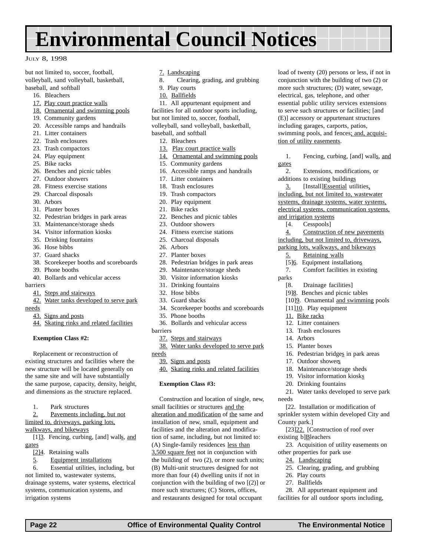## **Environmental Council Notices**

#### JULY 8, 1998

but not limited to, soccer, football, volleyball, sand volleyball, basketball, baseball, and softball

- 16. Bleachers
- 17. Play court practice walls
- 18. Ornamental and swimming pools
- 19. Community gardens
- 20. Accessible ramps and handrails
- 21. Litter containers
- 22. Trash enclosures
- 23. Trash compactors
- 24. Play equipment
- 25. Bike racks
- 26. Benches and picnic tables
- 27. Outdoor showers
- 28. Fitness exercise stations
- 29. Charcoal disposals
- 30. Arbors
- 31. Planter boxes
- 32. Pedestrian bridges in park areas
- 33. Maintenance/storage sheds
- 34. Visitor information kiosks
- 35. Drinking fountains
- 36. Hose bibbs
- 37. Guard shacks
- 38. Scorekeeper booths and scoreboards
- 39. Phone booths
- 40. Bollards and vehicular access

barriers

- 41. Steps and stairways
- 42. Water tanks developed to serve park
- needs
	- 43. Signs and posts
	- 44. Skating rinks and related facilities

#### **Exemption Class #2:**

Replacement or reconstruction of existing structures and facilities where the new structure will be located generally on the same site and will have substantially the same purpose, capacity, density, height, and dimensions as the structure replaced.

- 1. Park structures
- 2. Pavements including, but not

limited to, driveways, parking lots, walkways, and bikeways

[1]<sup>3</sup>. Fencing, curbing, [and] walls, and gates

- [2]4. Retaining walls
- 5. Equipment installations

6. Essential utilities, including, but not limited to, wastewater systems, drainage systems, water systems, electrical systems, communication systems, and irrigation systems

- 7. Landscaping
- 8. Clearing, grading, and grubbing
- 9. Play courts
- 10. Ballfields

11. All appurtenant equipment and facilities for all outdoor sports including, but not limited to, soccer, football, volleyball, sand volleyball, basketball, baseball, and softball

- 12. Bleachers
- 13. Play court practice walls
- 14. Ornamental and swimming pools
- 15. Community gardens
- 16. Accessible ramps and handrails
- 17. Litter containers
- 18. Trash enclosures
- 19. Trash compactors
- 20. Play equipment
- 21. Bike racks
- 22. Benches and picnic tables
- 23. Outdoor showers
- 24. Fitness exercise stations
- 25. Charcoal disposals
- 26. Arbors
- 27. Planter boxes
- 28. Pedestrian bridges in park areas
- 29. Maintenance/storage sheds
- 30. Visitor information kiosks
- 31. Drinking fountains
- 32. Hose bibbs
- 33. Guard shacks
- 34. Scorekeeper booths and scoreboards
- 35. Phone booths
- 36. Bollards and vehicular access
- barriers
	- 37. Steps and stairways
- 38. Water tanks developed to serve park needs
	- 39. Signs and posts
	- 40. Skating rinks and related facilities

#### **Exemption Class #3:**

Construction and location of single, new, small facilities or structures and the alteration and modification of the same and installation of new, small, equipment and facilities and the alteration and modification of same, including, but not limited to: (A) Single-family residences less than 3,500 square feet not in conjunction with the building of two (2), or more such units; (B) Multi-unit structures designed for not more than four (4) dwelling units if not in conjunction with the building of two [(2)] or more such structures; (C) Stores, offices, and restaurants designed for total occupant

 **Page 22 Office of Environmental Quality Control The Environmental Notice**

load of twenty (20) persons or less, if not in conjunction with the building of two (2) or more such structures; (D) water, sewage, electrical, gas, telephone, and other essential public utility services extensions to serve such structures or facilities; [and (E)] accessory or appurtenant structures including garages, carports, patios, swimming pools, and fences; and, acquisition of utility easements.

1. Fencing, curbing, [and] walls, and gates

2. Extensions, modifications, or additions to existing buildings

3. [Install]Essential utilities, including, but not limited to, wastewater systems, drainage systems, water systems, electrical systems, communication systems, and irrigation systems

- [4. Cesspools]
- 4. Construction of new pavements

including, but not limited to, driveways, parking lots, walkways, and bikeways

- 5. Retaining walls
- [5]<sup>6</sup>. Equipment installations
- 7. Comfort facilities in existing
- parks
	- [8. Drainage facilities]
	- [9]8. Benches and picnic tables
	- [10]9. Ornamental and swimming pools

16. Pedestrian bridges in park areas

21. Water tanks developed to serve park

[22. Installation or modification of sprinkler system within developed City and

[23]<sub>22.</sub> [Construction of roof over

23. Acquisition of utility easements on

25. Clearing, grading, and grubbing

28. All appurtenant equipment and facilities for all outdoor sports including,

18. Maintenance/storage sheds 19. Visitor information kiosks 20. Drinking fountains

- [11]<sup>10</sup>. Play equipment
- 11. Bike racks
- 12. Litter containers
- 13. Trash enclosures

17. Outdoor showers

14. Arbors

needs

County park.]

existing b]Bleachers

26. Play courts 27. Ballfields

other properties for park use 24. Landscaping

15. Planter boxes